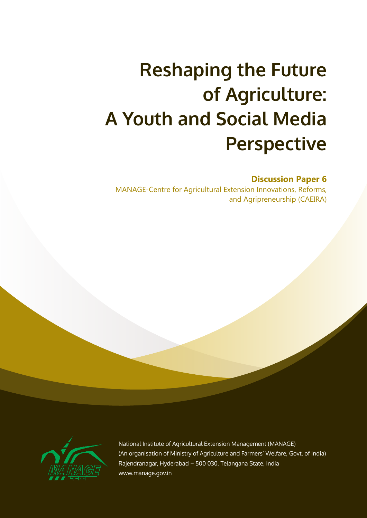# **Reshaping the Future of Agriculture: A Youth and Social Media Perspective**

#### **Discussion Paper 6**

MANAGE-Centre for Agricultural Extension Innovations, Reforms, and Agripreneurship (CAEIRA)



National Institute of Agricultural Extension Management (MANAGE) (An organisation of Ministry of Agriculture and Farmers' Welfare, Govt. of India) Rajendranagar, Hyderabad – 500 030, Telangana State, India www.manage.gov.in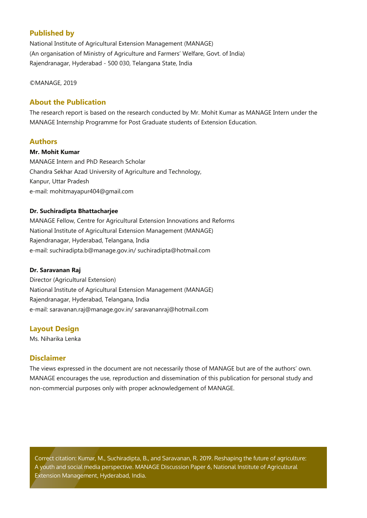#### **Published by**

National Institute of Agricultural Extension Management (MANAGE) (An organisation of Ministry of Agriculture and Farmers' Welfare, Govt. of India) Rajendranagar, Hyderabad - 500 030, Telangana State, India

#### ©MANAGE, 2019

#### **About the Publication**

The research report is based on the research conducted by Mr. Mohit Kumar as MANAGE Intern under the MANAGE Internship Programme for Post Graduate students of Extension Education.

#### **Authors**

#### **Mr. Mohit Kumar**

MANAGE Intern and PhD Research Scholar Chandra Sekhar Azad University of Agriculture and Technology, Kanpur, Uttar Pradesh e-mail: mohitmayapur404@gmail.com

#### **Dr. Suchiradipta Bhattacharjee**

MANAGE Fellow, Centre for Agricultural Extension Innovations and Reforms National Institute of Agricultural Extension Management (MANAGE) Rajendranagar, Hyderabad, Telangana, India e-mail: suchiradipta.b@manage.gov.in/ suchiradipta@hotmail.com

#### **Dr. Saravanan Raj**

Director (Agricultural Extension) National Institute of Agricultural Extension Management (MANAGE) Rajendranagar, Hyderabad, Telangana, India e-mail: saravanan.raj@manage.gov.in/ saravananraj@hotmail.com

#### **Layout Design**

Ms. Niharika Lenka

#### **Disclaimer**

The views expressed in the document are not necessarily those of MANAGE but are of the authors' own. MANAGE encourages the use, reproduction and dissemination of this publication for personal study and non-commercial purposes only with proper acknowledgement of MANAGE.

Correct citation: Kumar, M., Suchiradipta, B., and Saravanan, R. 2019. Reshaping the future of agriculture: A youth and social media perspective. MANAGE Discussion Paper 6, National Institute of Agricultural Extension Management, Hyderabad, India.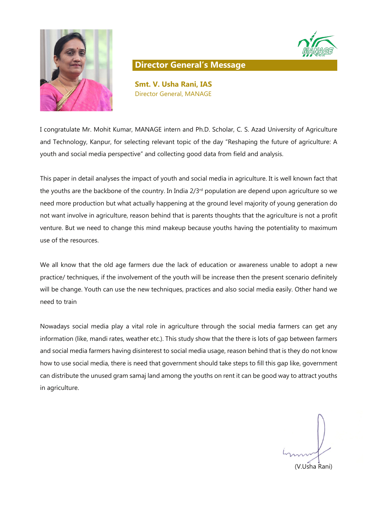



#### **Director General's Message**

**Smt. V. Usha Rani, IAS** Director General, MANAGE

I congratulate Mr. Mohit Kumar, MANAGE intern and Ph.D. Scholar, C. S. Azad University of Agriculture and Technology, Kanpur, for selecting relevant topic of the day "Reshaping the future of agriculture: A youth and social media perspective" and collecting good data from field and analysis.

This paper in detail analyses the impact of youth and social media in agriculture. It is well known fact that the youths are the backbone of the country. In India 2/3<sup>rd</sup> population are depend upon agriculture so we need more production but what actually happening at the ground level majority of young generation do not want involve in agriculture, reason behind that is parents thoughts that the agriculture is not a profit venture. But we need to change this mind makeup because youths having the potentiality to maximum use of the resources.

We all know that the old age farmers due the lack of education or awareness unable to adopt a new practice/ techniques, if the involvement of the youth will be increase then the present scenario definitely will be change. Youth can use the new techniques, practices and also social media easily. Other hand we need to train

Nowadays social media play a vital role in agriculture through the social media farmers can get any information (like, mandi rates, weather etc.). This study show that the there is lots of gap between farmers and social media farmers having disinterest to social media usage, reason behind that is they do not know how to use social media, there is need that government should take steps to fill this gap like, government can distribute the unused gram samaj land among the youths on rent it can be good way to attract youths in agriculture.

(V.Usha Rani)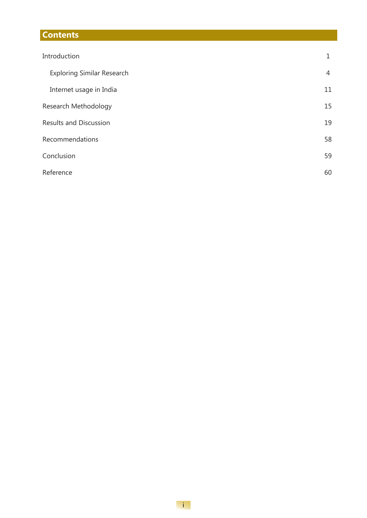### **Contents**

| Introduction                      | 1              |
|-----------------------------------|----------------|
| <b>Exploring Similar Research</b> | $\overline{4}$ |
| Internet usage in India           | 11             |
| Research Methodology              | 15             |
| <b>Results and Discussion</b>     | 19             |
| Recommendations                   | 58             |
| Conclusion                        | 59             |
| Reference                         | 60             |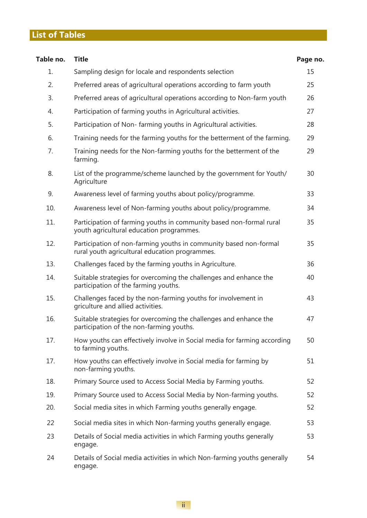### **List of Tables**

| Table no. | <b>Title</b>                                                                                                        | Page no. |
|-----------|---------------------------------------------------------------------------------------------------------------------|----------|
| 1.        | Sampling design for locale and respondents selection                                                                | 15       |
| 2.        | Preferred areas of agricultural operations according to farm youth                                                  | 25       |
| 3.        | Preferred areas of agricultural operations according to Non-farm youth                                              | 26       |
| 4.        | Participation of farming youths in Agricultural activities.                                                         | 27       |
| 5.        | Participation of Non-farming youths in Agricultural activities.                                                     | 28       |
| 6.        | Training needs for the farming youths for the betterment of the farming.                                            | 29       |
| 7.        | Training needs for the Non-farming youths for the betterment of the<br>farming.                                     | 29       |
| 8.        | List of the programme/scheme launched by the government for Youth/<br>Agriculture                                   | 30       |
| 9.        | Awareness level of farming youths about policy/programme.                                                           | 33       |
| 10.       | Awareness level of Non-farming youths about policy/programme.                                                       | 34       |
| 11.       | Participation of farming youths in community based non-formal rural<br>youth agricultural education programmes.     | 35       |
| 12.       | Participation of non-farming youths in community based non-formal<br>rural youth agricultural education programmes. | 35       |
| 13.       | Challenges faced by the farming youths in Agriculture.                                                              | 36       |
| 14.       | Suitable strategies for overcoming the challenges and enhance the<br>participation of the farming youths.           | 40       |
| 15.       | Challenges faced by the non-farming youths for involvement in<br>griculture and allied activities.                  | 43       |
| 16.       | Suitable strategies for overcoming the challenges and enhance the<br>participation of the non-farming youths.       | 47       |
| 17.       | How youths can effectively involve in Social media for farming according<br>to farming youths.                      | 50       |
| 17.       | How youths can effectively involve in Social media for farming by<br>non-farming youths.                            | 51       |
| 18.       | Primary Source used to Access Social Media by Farming youths.                                                       | 52       |
| 19.       | Primary Source used to Access Social Media by Non-farming youths.                                                   | 52       |
| 20.       | Social media sites in which Farming youths generally engage.                                                        | 52       |
| 22        | Social media sites in which Non-farming youths generally engage.                                                    | 53       |
| 23        | Details of Social media activities in which Farming youths generally<br>engage.                                     | 53       |
| 24        | Details of Social media activities in which Non-farming youths generally<br>engage.                                 | 54       |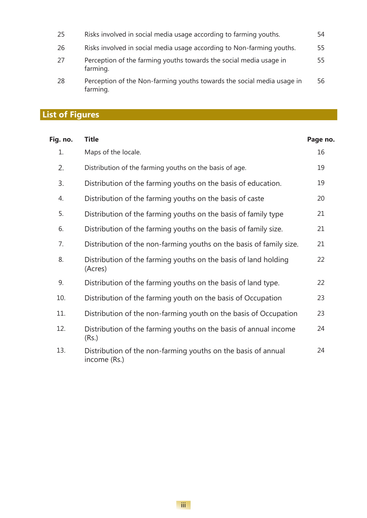| 25 | Risks involved in social media usage according to farming youths.                  | 54  |
|----|------------------------------------------------------------------------------------|-----|
| 26 | Risks involved in social media usage according to Non-farming youths.              | 55  |
| 27 | Perception of the farming youths towards the social media usage in<br>farming.     | 55. |
| 28 | Perception of the Non-farming youths towards the social media usage in<br>farming. | 56. |

## **List of Figures**

| Fig. no. | <b>Title</b>                                                                  | Page no. |
|----------|-------------------------------------------------------------------------------|----------|
| 1.       | Maps of the locale.                                                           | 16       |
| 2.       | Distribution of the farming youths on the basis of age.                       | 19       |
| 3.       | Distribution of the farming youths on the basis of education.                 | 19       |
| 4.       | Distribution of the farming youths on the basis of caste                      | 20       |
| 5.       | Distribution of the farming youths on the basis of family type                | 21       |
| 6.       | Distribution of the farming youths on the basis of family size.               | 21       |
| 7.       | Distribution of the non-farming youths on the basis of family size.           | 21       |
| 8.       | Distribution of the farming youths on the basis of land holding<br>(Acres)    | 22       |
| 9.       | Distribution of the farming youths on the basis of land type.                 | 22       |
| 10.      | Distribution of the farming youth on the basis of Occupation                  | 23       |
| 11.      | Distribution of the non-farming youth on the basis of Occupation              | 23       |
| 12.      | Distribution of the farming youths on the basis of annual income<br>(Rs.)     | 24       |
| 13.      | Distribution of the non-farming youths on the basis of annual<br>income (Rs.) | 24       |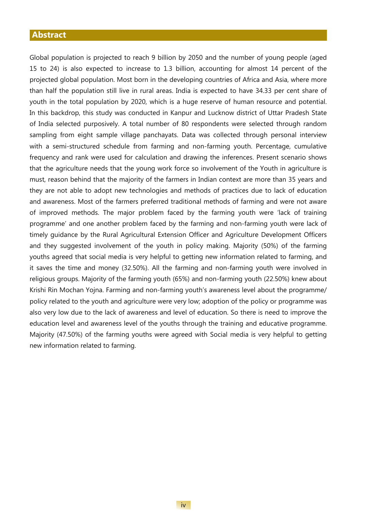#### **Abstract**

Global population is projected to reach 9 billion by 2050 and the number of young people (aged 15 to 24) is also expected to increase to 1.3 billion, accounting for almost 14 percent of the projected global population. Most born in the developing countries of Africa and Asia, where more than half the population still live in rural areas. India is expected to have 34.33 per cent share of youth in the total population by 2020, which is a huge reserve of human resource and potential. In this backdrop, this study was conducted in Kanpur and Lucknow district of Uttar Pradesh State of India selected purposively. A total number of 80 respondents were selected through random sampling from eight sample village panchayats. Data was collected through personal interview with a semi-structured schedule from farming and non-farming youth. Percentage, cumulative frequency and rank were used for calculation and drawing the inferences. Present scenario shows that the agriculture needs that the young work force so involvement of the Youth in agriculture is must, reason behind that the majority of the farmers in Indian context are more than 35 years and they are not able to adopt new technologies and methods of practices due to lack of education and awareness. Most of the farmers preferred traditional methods of farming and were not aware of improved methods. The major problem faced by the farming youth were 'lack of training programme' and one another problem faced by the farming and non-farming youth were lack of timely guidance by the Rural Agricultural Extension Officer and Agriculture Development Officers and they suggested involvement of the youth in policy making. Majority (50%) of the farming youths agreed that social media is very helpful to getting new information related to farming, and it saves the time and money (32.50%). All the farming and non-farming youth were involved in religious groups. Majority of the farming youth (65%) and non-farming youth (22.50%) knew about Krishi Rin Mochan Yojna. Farming and non-farming youth's awareness level about the programme/ policy related to the youth and agriculture were very low; adoption of the policy or programme was also very low due to the lack of awareness and level of education. So there is need to improve the education level and awareness level of the youths through the training and educative programme. Majority (47.50%) of the farming youths were agreed with Social media is very helpful to getting new information related to farming.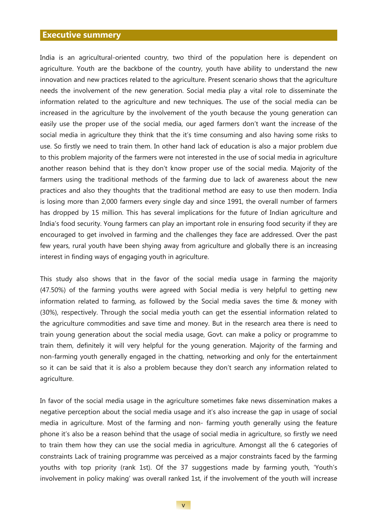#### **Executive summery**

India is an agricultural-oriented country, two third of the population here is dependent on agriculture. Youth are the backbone of the country, youth have ability to understand the new innovation and new practices related to the agriculture. Present scenario shows that the agriculture needs the involvement of the new generation. Social media play a vital role to disseminate the information related to the agriculture and new techniques. The use of the social media can be increased in the agriculture by the involvement of the youth because the young generation can easily use the proper use of the social media, our aged farmers don't want the increase of the social media in agriculture they think that the it's time consuming and also having some risks to use. So firstly we need to train them. In other hand lack of education is also a major problem due to this problem majority of the farmers were not interested in the use of social media in agriculture another reason behind that is they don't know proper use of the social media. Majority of the farmers using the traditional methods of the farming due to lack of awareness about the new practices and also they thoughts that the traditional method are easy to use then modern. India is losing more than 2,000 farmers every single day and since 1991, the overall number of farmers has dropped by 15 million. This has several implications for the future of Indian agriculture and India's food security. Young farmers can play an important role in ensuring food security if they are encouraged to get involved in farming and the challenges they face are addressed. Over the past few years, rural youth have been shying away from agriculture and globally there is an increasing interest in finding ways of engaging youth in agriculture.

This study also shows that in the favor of the social media usage in farming the majority (47.50%) of the farming youths were agreed with Social media is very helpful to getting new information related to farming, as followed by the Social media saves the time & money with (30%), respectively. Through the social media youth can get the essential information related to the agriculture commodities and save time and money. But in the research area there is need to train young generation about the social media usage, Govt. can make a policy or programme to train them, definitely it will very helpful for the young generation. Majority of the farming and non-farming youth generally engaged in the chatting, networking and only for the entertainment so it can be said that it is also a problem because they don't search any information related to agriculture.

In favor of the social media usage in the agriculture sometimes fake news dissemination makes a negative perception about the social media usage and it's also increase the gap in usage of social media in agriculture. Most of the farming and non- farming youth generally using the feature phone it's also be a reason behind that the usage of social media in agriculture, so firstly we need to train them how they can use the social media in agriculture. Amongst all the 6 categories of constraints Lack of training programme was perceived as a major constraints faced by the farming youths with top priority (rank 1st). Of the 37 suggestions made by farming youth, 'Youth's involvement in policy making' was overall ranked 1st, if the involvement of the youth will increase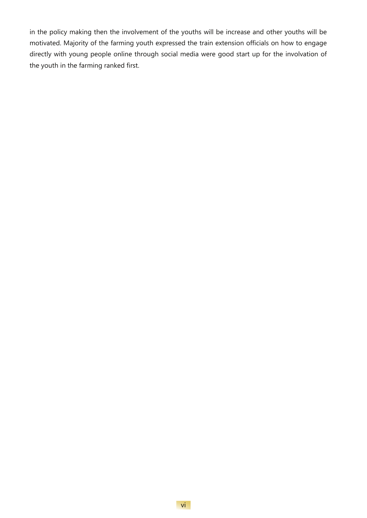in the policy making then the involvement of the youths will be increase and other youths will be motivated. Majority of the farming youth expressed the train extension officials on how to engage directly with young people online through social media were good start up for the involvation of the youth in the farming ranked first.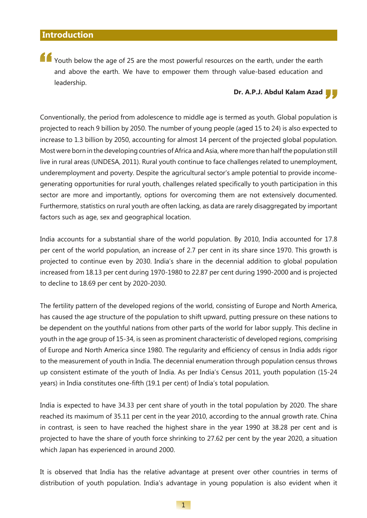"<br>" and above the earth. We have to empower them through value-based education and<br>leadership. **Dr. A.P.J. Abdul Kalam Azad** Youth below the age of 25 are the most powerful resources on the earth, under the earth and above the earth. We have to empower them through value-based education and leadership.

Conventionally, the period from adolescence to middle age is termed as youth. Global population is projected to reach 9 billion by 2050. The number of young people (aged 15 to 24) is also expected to increase to 1.3 billion by 2050, accounting for almost 14 percent of the projected global population. Most were born in the developing countries of Africa and Asia, where more than half the population still live in rural areas (UNDESA, 2011). Rural youth continue to face challenges related to unemployment, underemployment and poverty. Despite the agricultural sector's ample potential to provide incomegenerating opportunities for rural youth, challenges related specifically to youth participation in this sector are more and importantly, options for overcoming them are not extensively documented. Furthermore, statistics on rural youth are often lacking, as data are rarely disaggregated by important factors such as age, sex and geographical location.

India accounts for a substantial share of the world population. By 2010, India accounted for 17.8 per cent of the world population, an increase of 2.7 per cent in its share since 1970. This growth is projected to continue even by 2030. India's share in the decennial addition to global population increased from 18.13 per cent during 1970-1980 to 22.87 per cent during 1990-2000 and is projected to decline to 18.69 per cent by 2020-2030.

The fertility pattern of the developed regions of the world, consisting of Europe and North America, has caused the age structure of the population to shift upward, putting pressure on these nations to be dependent on the youthful nations from other parts of the world for labor supply. This decline in youth in the age group of 15-34, is seen as prominent characteristic of developed regions, comprising of Europe and North America since 1980. The regularity and efficiency of census in India adds rigor to the measurement of youth in India. The decennial enumeration through population census throws up consistent estimate of the youth of India. As per India's Census 2011, youth population (15-24 years) in India constitutes one-fifth (19.1 per cent) of India's total population.

India is expected to have 34.33 per cent share of youth in the total population by 2020. The share reached its maximum of 35.11 per cent in the year 2010, according to the annual growth rate. China in contrast, is seen to have reached the highest share in the year 1990 at 38.28 per cent and is projected to have the share of youth force shrinking to 27.62 per cent by the year 2020, a situation which Japan has experienced in around 2000.

It is observed that India has the relative advantage at present over other countries in terms of distribution of youth population. India's advantage in young population is also evident when it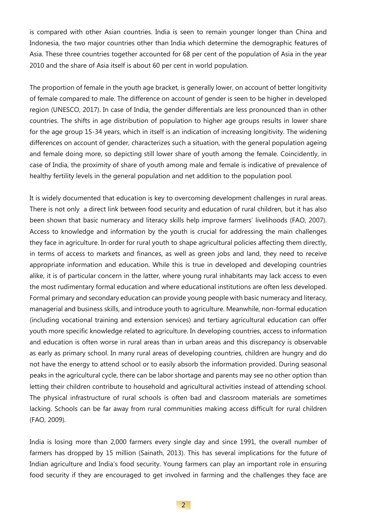is compared with other Asian countries. India is seen to remain younger longer than China and Indonesia, the two major countries other than India which determine the demographic features of Asia. These three countries together accounted for 68 per cent of the population of Asia in the year 2010 and the share of Asia itself is about 60 per cent in world population.

The proportion of female in the youth age bracket, is generally lower, on account of better longitivity of female compared to male. The difference on account of gender is seen to be higher in developed region (UNESCO, 2017). In case of India, the gender differentials are less pronounced than in other countries. The shifts in age distribution of population to higher age groups results in lower share for the age group 15-34 years, which in itself is an indication of increasing longitivity. The widening differences on account of gender, characterizes such a situation, with the general population ageing and female doing more, so depicting still lower share of youth among the female. Coincidently, in case of India, the proximity of share of youth among male and female is indicative of prevalence of healthy fertility levels in the general population and net addition to the population pool.

It is widely documented that education is key to overcoming development challenges in rural areas. There is not only a direct link between food security and education of rural children, but it has also been shown that basic numeracy and literacy skills help improve farmers' livelihoods (FAO, 2007). Access to knowledge and information by the youth is crucial for addressing the main challenges they face in agriculture. In order for rural youth to shape agricultural policies affecting them directly, in terms of access to markets and finances, as well as green jobs and land, they need to receive appropriate information and education. While this is true in developed and developing countries alike, it is of particular concern in the latter, where young rural inhabitants may lack access to even the most rudimentary formal education and where educational institutions are often less developed. Formal primary and secondary education can provide young people with basic numeracy and literacy, managerial and business skills, and introduce youth to agriculture. Meanwhile, non-formal education (including vocational training and extension services) and tertiary agricultural education can offer youth more specific knowledge related to agriculture. In developing countries, access to information and education is often worse in rural areas than in urban areas and this discrepancy is observable as early as primary school. In many rural areas of developing countries, children are hungry and do not have the energy to attend school or to easily absorb the information provided. During seasonal peaks in the agricultural cycle, there can be labor shortage and parents may see no other option than letting their children contribute to household and agricultural activities instead of attending school. The physical infrastructure of rural schools is often bad and classroom materials are sometimes lacking. Schools can be far away from rural communities making access difficult for rural children (FAO, 2009).

India is losing more than 2,000 farmers every single day and since 1991, the overall number of farmers has dropped by 15 million (Sainath, 2013). This has several implications for the future of Indian agriculture and India's food security. Young farmers can play an important role in ensuring food security if they are encouraged to get involved in farming and the challenges they face are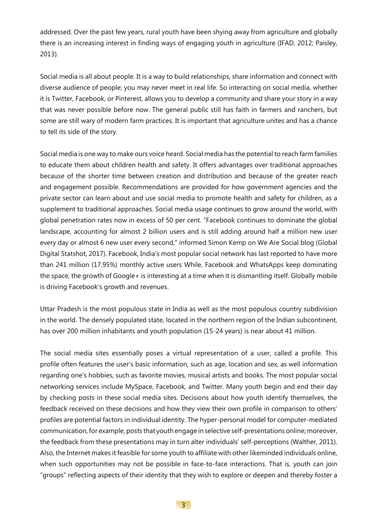addressed. Over the past few years, rural youth have been shying away from agriculture and globally there is an increasing interest in finding ways of engaging youth in agriculture (IFAD, 2012; Paisley, 2013).

Social media is all about people. It is a way to build relationships, share information and connect with diverse audience of people; you may never meet in real life. So interacting on social media, whether it is Twitter, Facebook, or Pinterest, allows you to develop a community and share your story in a way that was never possible before now. The general public still has faith in farmers and ranchers, but some are still wary of modern farm practices. It is important that agriculture unites and has a chance to tell its side of the story.

Social media is one way to make ours voice heard. Social media has the potential to reach farm families to educate them about children health and safety. It offers advantages over traditional approaches because of the shorter time between creation and distribution and because of the greater reach and engagement possible. Recommendations are provided for how government agencies and the private sector can learn about and use social media to promote health and safety for children, as a supplement to traditional approaches. Social media usage continues to grow around the world, with global penetration rates now in excess of 50 per cent. "Facebook continues to dominate the global landscape, accounting for almost 2 billion users and is still adding around half a million new user every day or almost 6 new user every second," informed Simon Kemp on We Are Social blog (Global Digital Statshot, 2017). Facebook, India's most popular social network has last reported to have more than 241 million (17.95%) monthly active users While, Facebook and WhatsApps keep dominating the space, the growth of Google+ is interesting at a time when it is dismantling itself. Globally mobile is driving Facebook's growth and revenues.

Uttar Pradesh is the most populous state in India as well as the most populous country subdivision in the world. The densely populated state, located in the northern region of the Indian subcontinent, has over 200 million inhabitants and youth population (15-24 years) is near about 41 million.

The social media sites essentially poses a virtual representation of a user, called a profile. This profile often features the user's basic information, such as age, location and sex, as well information regarding one's hobbies, such as favorite movies, musical artists and books. The most popular social networking services include MySpace, Facebook, and Twitter. Many youth begin and end their day by checking posts in these social media sites. Decisions about how youth identify themselves, the feedback received on these decisions and how they view their own profile in comparison to others' profiles are potential factors in individual identity. The hyper-personal model for computer-mediated communication, for example, posts that youth engage in selective self-presentations online; moreover, the feedback from these presentations may in turn alter individuals' self-perceptions (Walther, 2011). Also, the Internet makes it feasible for some youth to affiliate with other likeminded individuals online, when such opportunities may not be possible in face-to-face interactions. That is, youth can join "groups" reflecting aspects of their identity that they wish to explore or deepen and thereby foster a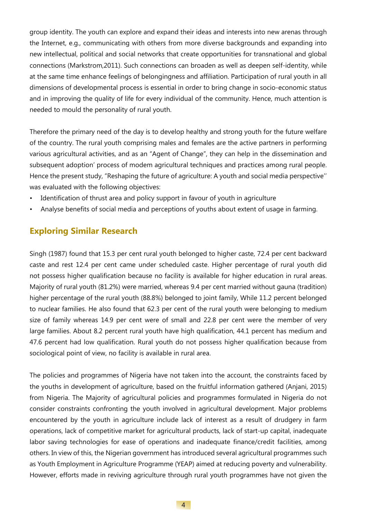group identity. The youth can explore and expand their ideas and interests into new arenas through the Internet, e.g., communicating with others from more diverse backgrounds and expanding into new intellectual, political and social networks that create opportunities for transnational and global connections (Markstrom,2011). Such connections can broaden as well as deepen self-identity, while at the same time enhance feelings of belongingness and affiliation. Participation of rural youth in all dimensions of developmental process is essential in order to bring change in socio-economic status and in improving the quality of life for every individual of the community. Hence, much attention is needed to mould the personality of rural youth.

Therefore the primary need of the day is to develop healthy and strong youth for the future welfare of the country. The rural youth comprising males and females are the active partners in performing various agricultural activities, and as an "Agent of Change", they can help in the dissemination and subsequent adoption' process of modem agricultural techniques and practices among rural people. Hence the present study, "Reshaping the future of agriculture: A youth and social media perspective'' was evaluated with the following objectives:

- Identification of thrust area and policy support in favour of youth in agriculture
- Analyse benefits of social media and perceptions of youths about extent of usage in farming.

#### **Exploring Similar Research**

Singh (1987) found that 15.3 per cent rural youth belonged to higher caste, 72.4 per cent backward caste and rest 12.4 per cent came under scheduled caste. Higher percentage of rural youth did not possess higher qualification because no facility is available for higher education in rural areas. Majority of rural youth (81.2%) were married, whereas 9.4 per cent married without gauna (tradition) higher percentage of the rural youth (88.8%) belonged to joint family, While 11.2 percent belonged to nuclear families. He also found that 62.3 per cent of the rural youth were belonging to medium size of family whereas 14.9 per cent were of small and 22.8 per cent were the member of very large families. About 8.2 percent rural youth have high qualification, 44.1 percent has medium and 47.6 percent had low qualification. Rural youth do not possess higher qualification because from sociological point of view, no facility is available in rural area.

The policies and programmes of Nigeria have not taken into the account, the constraints faced by the youths in development of agriculture, based on the fruitful information gathered (Anjani, 2015) from Nigeria. The Majority of agricultural policies and programmes formulated in Nigeria do not consider constraints confronting the youth involved in agricultural development. Major problems encountered by the youth in agriculture include lack of interest as a result of drudgery in farm operations, lack of competitive market for agricultural products, lack of start-up capital, inadequate labor saving technologies for ease of operations and inadequate finance/credit facilities, among others. In view of this, the Nigerian government has introduced several agricultural programmes such as Youth Employment in Agriculture Programme (YEAP) aimed at reducing poverty and vulnerability. However, efforts made in reviving agriculture through rural youth programmes have not given the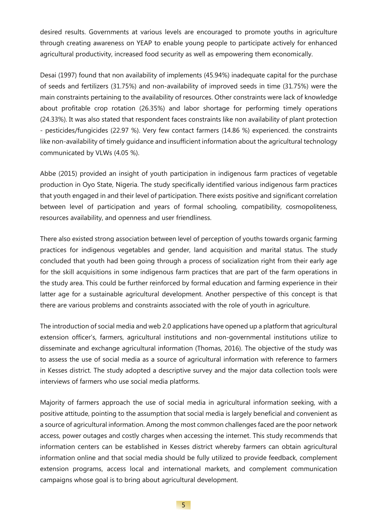desired results. Governments at various levels are encouraged to promote youths in agriculture through creating awareness on YEAP to enable young people to participate actively for enhanced agricultural productivity, increased food security as well as empowering them economically.

Desai (1997) found that non availability of implements (45.94%) inadequate capital for the purchase of seeds and fertilizers (31.75%) and non-availability of improved seeds in time (31.75%) were the main constraints pertaining to the availability of resources. Other constraints were lack of knowledge about profitable crop rotation (26.35%) and labor shortage for performing timely operations (24.33%). It was also stated that respondent faces constraints like non availability of plant protection - pesticides/fungicides (22.97 %). Very few contact farmers (14.86 %) experienced. the constraints like non-availability of timely guidance and insufficient information about the agricultural technology communicated by VLWs (4.05 %).

Abbe (2015) provided an insight of youth participation in indigenous farm practices of vegetable production in Oyo State, Nigeria. The study specifically identified various indigenous farm practices that youth engaged in and their level of participation. There exists positive and significant correlation between level of participation and years of formal schooling, compatibility, cosmopoliteness, resources availability, and openness and user friendliness.

There also existed strong association between level of perception of youths towards organic farming practices for indigenous vegetables and gender, land acquisition and marital status. The study concluded that youth had been going through a process of socialization right from their early age for the skill acquisitions in some indigenous farm practices that are part of the farm operations in the study area. This could be further reinforced by formal education and farming experience in their latter age for a sustainable agricultural development. Another perspective of this concept is that there are various problems and constraints associated with the role of youth in agriculture.

The introduction of social media and web 2.0 applications have opened up a platform that agricultural extension officer's, farmers, agricultural institutions and non-governmental institutions utilize to disseminate and exchange agricultural information (Thomas, 2016). The objective of the study was to assess the use of social media as a source of agricultural information with reference to farmers in Kesses district. The study adopted a descriptive survey and the major data collection tools were interviews of farmers who use social media platforms.

Majority of farmers approach the use of social media in agricultural information seeking, with a positive attitude, pointing to the assumption that social media is largely beneficial and convenient as a source of agricultural information. Among the most common challenges faced are the poor network access, power outages and costly charges when accessing the internet. This study recommends that information centers can be established in Kesses district whereby farmers can obtain agricultural information online and that social media should be fully utilized to provide feedback, complement extension programs, access local and international markets, and complement communication campaigns whose goal is to bring about agricultural development.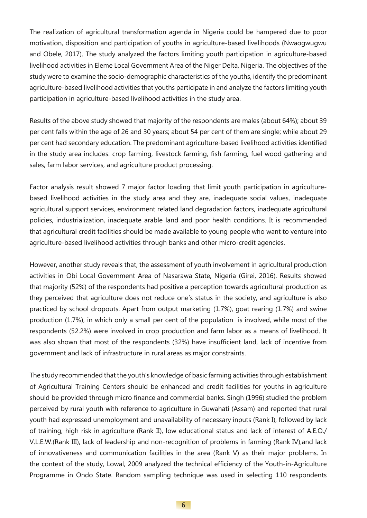The realization of agricultural transformation agenda in Nigeria could be hampered due to poor motivation, disposition and participation of youths in agriculture-based livelihoods (Nwaogwugwu and Obele, 2017). The study analyzed the factors limiting youth participation in agriculture-based livelihood activities in Eleme Local Government Area of the Niger Delta, Nigeria. The objectives of the study were to examine the socio-demographic characteristics of the youths, identify the predominant agriculture-based livelihood activities that youths participate in and analyze the factors limiting youth participation in agriculture-based livelihood activities in the study area.

Results of the above study showed that majority of the respondents are males (about 64%); about 39 per cent falls within the age of 26 and 30 years; about 54 per cent of them are single; while about 29 per cent had secondary education. The predominant agriculture-based livelihood activities identified in the study area includes: crop farming, livestock farming, fish farming, fuel wood gathering and sales, farm labor services, and agriculture product processing.

Factor analysis result showed 7 major factor loading that limit youth participation in agriculturebased livelihood activities in the study area and they are, inadequate social values, inadequate agricultural support services, environment related land degradation factors, inadequate agricultural policies, industrialization, inadequate arable land and poor health conditions. It is recommended that agricultural credit facilities should be made available to young people who want to venture into agriculture-based livelihood activities through banks and other micro-credit agencies.

However, another study reveals that, the assessment of youth involvement in agricultural production activities in Obi Local Government Area of Nasarawa State, Nigeria (Girei, 2016). Results showed that majority (52%) of the respondents had positive a perception towards agricultural production as they perceived that agriculture does not reduce one's status in the society, and agriculture is also practiced by school dropouts. Apart from output marketing (1.7%), goat rearing (1.7%) and swine production (1.7%), in which only a small per cent of the population is involved, while most of the respondents (52.2%) were involved in crop production and farm labor as a means of livelihood. It was also shown that most of the respondents (32%) have insufficient land, lack of incentive from government and lack of infrastructure in rural areas as major constraints.

The study recommended that the youth's knowledge of basic farming activities through establishment of Agricultural Training Centers should be enhanced and credit facilities for youths in agriculture should be provided through micro finance and commercial banks. Singh (1996) studied the problem perceived by rural youth with reference to agriculture in Guwahati (Assam) and reported that rural youth had expressed unemployment and unavailability of necessary inputs (Rank I), followed by lack of training, high risk in agriculture (Rank II), low educational status and lack of interest of A.E.O./ V.L.E.W.(Rank III), lack of leadership and non-recognition of problems in farming (Rank IV),and lack of innovativeness and communication facilities in the area (Rank V) as their major problems. In the context of the study, Lowal, 2009 analyzed the technical efficiency of the Youth-in-Agriculture Programme in Ondo State. Random sampling technique was used in selecting 110 respondents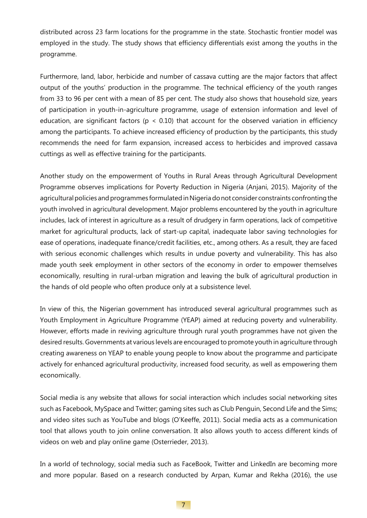distributed across 23 farm locations for the programme in the state. Stochastic frontier model was employed in the study. The study shows that efficiency differentials exist among the youths in the programme.

Furthermore, land, labor, herbicide and number of cassava cutting are the major factors that affect output of the youths' production in the programme. The technical efficiency of the youth ranges from 33 to 96 per cent with a mean of 85 per cent. The study also shows that household size, years of participation in youth-in-agriculture programme, usage of extension information and level of education, are significant factors ( $p < 0.10$ ) that account for the observed variation in efficiency among the participants. To achieve increased efficiency of production by the participants, this study recommends the need for farm expansion, increased access to herbicides and improved cassava cuttings as well as effective training for the participants.

Another study on the empowerment of Youths in Rural Areas through Agricultural Development Programme observes implications for Poverty Reduction in Nigeria (Anjani, 2015). Majority of the agricultural policies and programmes formulated in Nigeria do not consider constraints confronting the youth involved in agricultural development. Major problems encountered by the youth in agriculture includes, lack of interest in agriculture as a result of drudgery in farm operations, lack of competitive market for agricultural products, lack of start-up capital, inadequate labor saving technologies for ease of operations, inadequate finance/credit facilities, etc., among others. As a result, they are faced with serious economic challenges which results in undue poverty and vulnerability. This has also made youth seek employment in other sectors of the economy in order to empower themselves economically, resulting in rural-urban migration and leaving the bulk of agricultural production in the hands of old people who often produce only at a subsistence level.

In view of this, the Nigerian government has introduced several agricultural programmes such as Youth Employment in Agriculture Programme (YEAP) aimed at reducing poverty and vulnerability. However, efforts made in reviving agriculture through rural youth programmes have not given the desired results. Governments at various levels are encouraged to promote youth in agriculture through creating awareness on YEAP to enable young people to know about the programme and participate actively for enhanced agricultural productivity, increased food security, as well as empowering them economically.

Social media is any website that allows for social interaction which includes social networking sites such as Facebook, MySpace and Twitter; gaming sites such as Club Penguin, Second Life and the Sims; and video sites such as YouTube and blogs (O'Keeffe, 2011). Social media acts as a communication tool that allows youth to join online conversation. It also allows youth to access different kinds of videos on web and play online game (Osterrieder, 2013).

In a world of technology, social media such as FaceBook, Twitter and LinkedIn are becoming more and more popular. Based on a research conducted by Arpan, Kumar and Rekha (2016), the use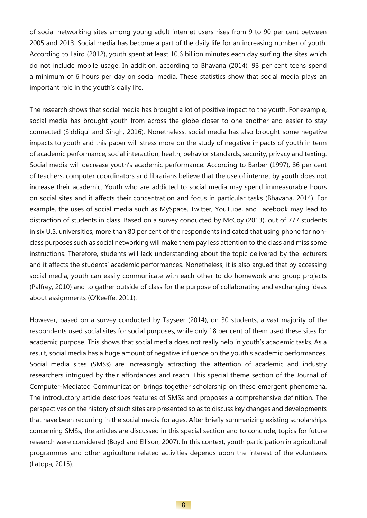of social networking sites among young adult internet users rises from 9 to 90 per cent between 2005 and 2013. Social media has become a part of the daily life for an increasing number of youth. According to Laird (2012), youth spent at least 10.6 billion minutes each day surfing the sites which do not include mobile usage. In addition, according to Bhavana (2014), 93 per cent teens spend a minimum of 6 hours per day on social media. These statistics show that social media plays an important role in the youth's daily life.

The research shows that social media has brought a lot of positive impact to the youth. For example, social media has brought youth from across the globe closer to one another and easier to stay connected (Siddiqui and Singh, 2016). Nonetheless, social media has also brought some negative impacts to youth and this paper will stress more on the study of negative impacts of youth in term of academic performance, social interaction, health, behavior standards, security, privacy and texting. Social media will decrease youth's academic performance. According to Barber (1997), 86 per cent of teachers, computer coordinators and librarians believe that the use of internet by youth does not increase their academic. Youth who are addicted to social media may spend immeasurable hours on social sites and it affects their concentration and focus in particular tasks (Bhavana, 2014). For example, the uses of social media such as MySpace, Twitter, YouTube, and Facebook may lead to distraction of students in class. Based on a survey conducted by McCoy (2013), out of 777 students in six U.S. universities, more than 80 per cent of the respondents indicated that using phone for nonclass purposes such as social networking will make them pay less attention to the class and miss some instructions. Therefore, students will lack understanding about the topic delivered by the lecturers and it affects the students' academic performances. Nonetheless, it is also argued that by accessing social media, youth can easily communicate with each other to do homework and group projects (Palfrey, 2010) and to gather outside of class for the purpose of collaborating and exchanging ideas about assignments (O'Keeffe, 2011).

However, based on a survey conducted by Tayseer (2014), on 30 students, a vast majority of the respondents used social sites for social purposes, while only 18 per cent of them used these sites for academic purpose. This shows that social media does not really help in youth's academic tasks. As a result, social media has a huge amount of negative influence on the youth's academic performances. Social media sites (SMSs) are increasingly attracting the attention of academic and industry researchers intrigued by their affordances and reach. This special theme section of the Journal of Computer-Mediated Communication brings together scholarship on these emergent phenomena. The introductory article describes features of SMSs and proposes a comprehensive definition. The perspectives on the history of such sites are presented so as to discuss key changes and developments that have been recurring in the social media for ages. After briefly summarizing existing scholarships concerning SMSs, the articles are discussed in this special section and to conclude, topics for future research were considered (Boyd and Ellison, 2007). In this context, youth participation in agricultural programmes and other agriculture related activities depends upon the interest of the volunteers (Latopa, 2015).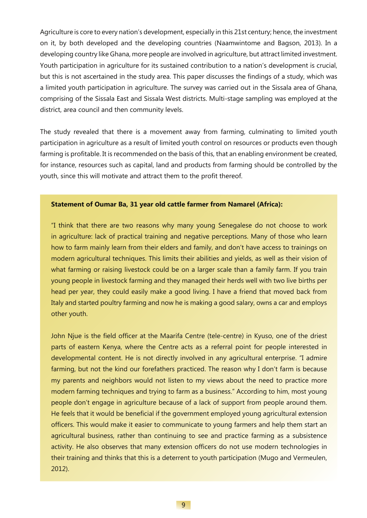Agriculture is core to every nation's development, especially in this 21st century; hence, the investment on it, by both developed and the developing countries (Naamwintome and Bagson, 2013). In a developing country like Ghana, more people are involved in agriculture, but attract limited investment. Youth participation in agriculture for its sustained contribution to a nation's development is crucial, but this is not ascertained in the study area. This paper discusses the findings of a study, which was a limited youth participation in agriculture. The survey was carried out in the Sissala area of Ghana, comprising of the Sissala East and Sissala West districts. Multi-stage sampling was employed at the district, area council and then community levels.

The study revealed that there is a movement away from farming, culminating to limited youth participation in agriculture as a result of limited youth control on resources or products even though farming is profitable. It is recommended on the basis of this, that an enabling environment be created, for instance, resources such as capital, land and products from farming should be controlled by the youth, since this will motivate and attract them to the profit thereof.

#### **Statement of Oumar Ba, 31 year old cattle farmer from Namarel (Africa):**

"I think that there are two reasons why many young Senegalese do not choose to work in agriculture: lack of practical training and negative perceptions. Many of those who learn how to farm mainly learn from their elders and family, and don't have access to trainings on modern agricultural techniques. This limits their abilities and yields, as well as their vision of what farming or raising livestock could be on a larger scale than a family farm. If you train young people in livestock farming and they managed their herds well with two live births per head per year, they could easily make a good living. I have a friend that moved back from Italy and started poultry farming and now he is making a good salary, owns a car and employs other youth.

John Njue is the field officer at the Maarifa Centre (tele-centre) in Kyuso, one of the driest parts of eastern Kenya, where the Centre acts as a referral point for people interested in developmental content. He is not directly involved in any agricultural enterprise. "I admire farming, but not the kind our forefathers practiced. The reason why I don't farm is because my parents and neighbors would not listen to my views about the need to practice more modern farming techniques and trying to farm as a business." According to him, most young people don't engage in agriculture because of a lack of support from people around them. He feels that it would be beneficial if the government employed young agricultural extension officers. This would make it easier to communicate to young farmers and help them start an agricultural business, rather than continuing to see and practice farming as a subsistence activity. He also observes that many extension officers do not use modern technologies in their training and thinks that this is a deterrent to youth participation (Mugo and Vermeulen, 2012).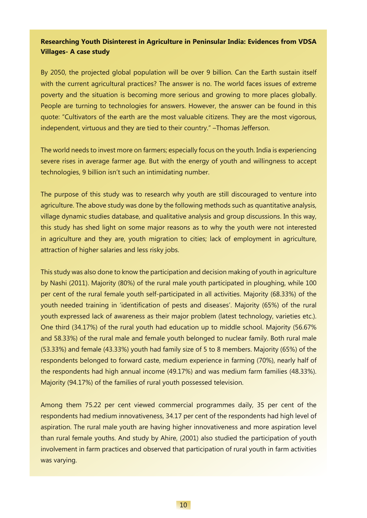#### **Researching Youth Disinterest in Agriculture in Peninsular India: Evidences from VDSA Villages- A case study**

By 2050, the projected global population will be over 9 billion. Can the Earth sustain itself with the current agricultural practices? The answer is no. The world faces issues of extreme poverty and the situation is becoming more serious and growing to more places globally. People are turning to technologies for answers. However, the answer can be found in this quote: "Cultivators of the earth are the most valuable citizens. They are the most vigorous, independent, virtuous and they are tied to their country." –Thomas Jefferson.

The world needs to invest more on farmers; especially focus on the youth. India is experiencing severe rises in average farmer age. But with the energy of youth and willingness to accept technologies, 9 billion isn't such an intimidating number.

The purpose of this study was to research why youth are still discouraged to venture into agriculture. The above study was done by the following methods such as quantitative analysis, village dynamic studies database, and qualitative analysis and group discussions. In this way, this study has shed light on some major reasons as to why the youth were not interested in agriculture and they are, youth migration to cities; lack of employment in agriculture, attraction of higher salaries and less risky jobs.

This study was also done to know the participation and decision making of youth in agriculture by Nashi (2011). Majority (80%) of the rural male youth participated in ploughing, while 100 per cent of the rural female youth self-participated in all activities. Majority (68.33%) of the youth needed training in 'identification of pests and diseases'. Majority (65%) of the rural youth expressed lack of awareness as their major problem (latest technology, varieties etc.). One third (34.17%) of the rural youth had education up to middle school. Majority (56.67% and 58.33%) of the rural male and female youth belonged to nuclear family. Both rural male (53.33%) and female (43.33%) youth had family size of 5 to 8 members. Majority (65%) of the respondents belonged to forward caste, medium experience in farming (70%), nearly half of the respondents had high annual income (49.17%) and was medium farm families (48.33%). Majority (94.17%) of the families of rural youth possessed television.

Among them 75.22 per cent viewed commercial programmes daily, 35 per cent of the respondents had medium innovativeness, 34.17 per cent of the respondents had high level of aspiration. The rural male youth are having higher innovativeness and more aspiration level than rural female youths. And study by Ahire, (2001) also studied the participation of youth involvement in farm practices and observed that participation of rural youth in farm activities was varying.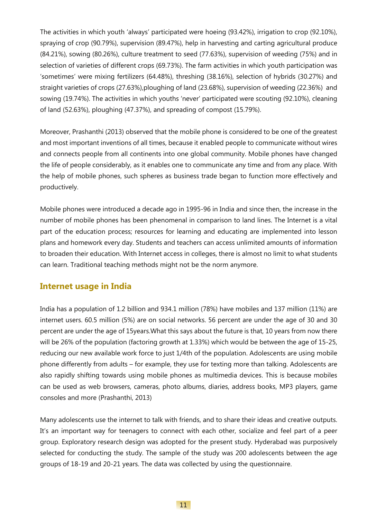The activities in which youth 'always' participated were hoeing (93.42%), irrigation to crop (92.10%), spraying of crop (90.79%), supervision (89.47%), help in harvesting and carting agricultural produce (84.21%), sowing (80.26%), culture treatment to seed (77.63%), supervision of weeding (75%) and in selection of varieties of different crops (69.73%). The farm activities in which youth participation was 'sometimes' were mixing fertilizers (64.48%), threshing (38.16%), selection of hybrids (30.27%) and straight varieties of crops (27.63%),ploughing of land (23.68%), supervision of weeding (22.36%) and sowing (19.74%). The activities in which youths 'never' participated were scouting (92.10%), cleaning of land (52.63%), ploughing (47.37%), and spreading of compost (15.79%).

Moreover, Prashanthi (2013) observed that the mobile phone is considered to be one of the greatest and most important inventions of all times, because it enabled people to communicate without wires and connects people from all continents into one global community. Mobile phones have changed the life of people considerably, as it enables one to communicate any time and from any place. With the help of mobile phones, such spheres as business trade began to function more effectively and productively.

Mobile phones were introduced a decade ago in 1995-96 in India and since then, the increase in the number of mobile phones has been phenomenal in comparison to land lines. The Internet is a vital part of the education process; resources for learning and educating are implemented into lesson plans and homework every day. Students and teachers can access unlimited amounts of information to broaden their education. With Internet access in colleges, there is almost no limit to what students can learn. Traditional teaching methods might not be the norm anymore.

#### **Internet usage in India**

India has a population of 1.2 billion and 934.1 million (78%) have mobiles and 137 million (11%) are internet users. 60.5 million (5%) are on social networks. 56 percent are under the age of 30 and 30 percent are under the age of 15years.What this says about the future is that, 10 years from now there will be 26% of the population (factoring growth at 1.33%) which would be between the age of 15-25, reducing our new available work force to just 1/4th of the population. Adolescents are using mobile phone differently from adults – for example, they use for texting more than talking. Adolescents are also rapidly shifting towards using mobile phones as multimedia devices. This is because mobiles can be used as web browsers, cameras, photo albums, diaries, address books, MP3 players, game consoles and more (Prashanthi, 2013)

Many adolescents use the internet to talk with friends, and to share their ideas and creative outputs. It's an important way for teenagers to connect with each other, socialize and feel part of a peer group. Exploratory research design was adopted for the present study. Hyderabad was purposively selected for conducting the study. The sample of the study was 200 adolescents between the age groups of 18-19 and 20-21 years. The data was collected by using the questionnaire.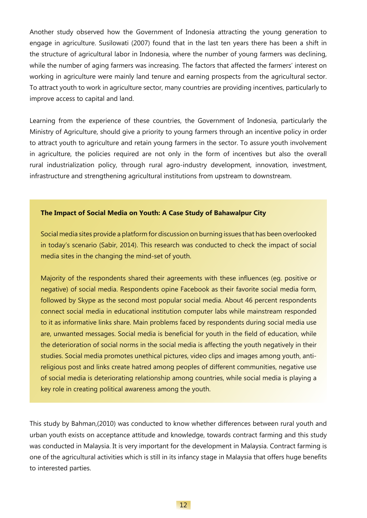Another study observed how the Government of Indonesia attracting the young generation to engage in agriculture. Susilowati (2007) found that in the last ten years there has been a shift in the structure of agricultural labor in Indonesia, where the number of young farmers was declining, while the number of aging farmers was increasing. The factors that affected the farmers' interest on working in agriculture were mainly land tenure and earning prospects from the agricultural sector. To attract youth to work in agriculture sector, many countries are providing incentives, particularly to improve access to capital and land.

Learning from the experience of these countries, the Government of Indonesia, particularly the Ministry of Agriculture, should give a priority to young farmers through an incentive policy in order to attract youth to agriculture and retain young farmers in the sector. To assure youth involvement in agriculture, the policies required are not only in the form of incentives but also the overall rural industrialization policy, through rural agro-industry development, innovation, investment, infrastructure and strengthening agricultural institutions from upstream to downstream.

#### **The Impact of Social Media on Youth: A Case Study of Bahawalpur City**

Social media sites provide a platform for discussion on burning issues that has been overlooked in today's scenario (Sabir, 2014). This research was conducted to check the impact of social media sites in the changing the mind-set of youth.

Majority of the respondents shared their agreements with these influences (eg. positive or negative) of social media. Respondents opine Facebook as their favorite social media form, followed by Skype as the second most popular social media. About 46 percent respondents connect social media in educational institution computer labs while mainstream responded to it as informative links share. Main problems faced by respondents during social media use are, unwanted messages. Social media is beneficial for youth in the field of education, while the deterioration of social norms in the social media is affecting the youth negatively in their studies. Social media promotes unethical pictures, video clips and images among youth, antireligious post and links create hatred among peoples of different communities, negative use of social media is deteriorating relationship among countries, while social media is playing a key role in creating political awareness among the youth.

This study by Bahman,(2010) was conducted to know whether differences between rural youth and urban youth exists on acceptance attitude and knowledge, towards contract farming and this study was conducted in Malaysia. It is very important for the development in Malaysia. Contract farming is one of the agricultural activities which is still in its infancy stage in Malaysia that offers huge benefits to interested parties.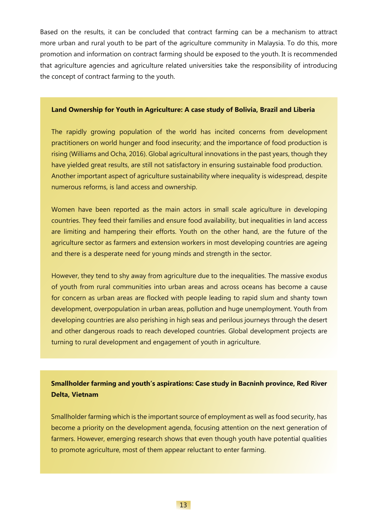Based on the results, it can be concluded that contract farming can be a mechanism to attract more urban and rural youth to be part of the agriculture community in Malaysia. To do this, more promotion and information on contract farming should be exposed to the youth. It is recommended that agriculture agencies and agriculture related universities take the responsibility of introducing the concept of contract farming to the youth.

#### **Land Ownership for Youth in Agriculture: A case study of Bolivia, Brazil and Liberia**

The rapidly growing population of the world has incited concerns from development practitioners on world hunger and food insecurity; and the importance of food production is rising (Williams and Ocha, 2016). Global agricultural innovations in the past years, though they have yielded great results, are still not satisfactory in ensuring sustainable food production. Another important aspect of agriculture sustainability where inequality is widespread, despite numerous reforms, is land access and ownership.

Women have been reported as the main actors in small scale agriculture in developing countries. They feed their families and ensure food availability, but inequalities in land access are limiting and hampering their efforts. Youth on the other hand, are the future of the agriculture sector as farmers and extension workers in most developing countries are ageing and there is a desperate need for young minds and strength in the sector.

However, they tend to shy away from agriculture due to the inequalities. The massive exodus of youth from rural communities into urban areas and across oceans has become a cause for concern as urban areas are flocked with people leading to rapid slum and shanty town development, overpopulation in urban areas, pollution and huge unemployment. Youth from developing countries are also perishing in high seas and perilous journeys through the desert and other dangerous roads to reach developed countries. Global development projects are turning to rural development and engagement of youth in agriculture.

#### **Smallholder farming and youth's aspirations: Case study in Bacninh province, Red River Delta, Vietnam**

Smallholder farming which is the important source of employment as well as food security, has become a priority on the development agenda, focusing attention on the next generation of farmers. However, emerging research shows that even though youth have potential qualities to promote agriculture, most of them appear reluctant to enter farming.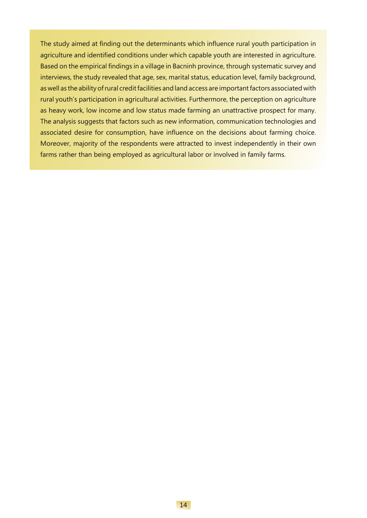The study aimed at finding out the determinants which influence rural youth participation in agriculture and identified conditions under which capable youth are interested in agriculture. Based on the empirical findings in a village in Bacninh province, through systematic survey and interviews, the study revealed that age, sex, marital status, education level, family background, as well as the ability of rural credit facilities and land access are important factors associated with rural youth's participation in agricultural activities. Furthermore, the perception on agriculture as heavy work, low income and low status made farming an unattractive prospect for many. The analysis suggests that factors such as new information, communication technologies and associated desire for consumption, have influence on the decisions about farming choice. Moreover, majority of the respondents were attracted to invest independently in their own farms rather than being employed as agricultural labor or involved in family farms.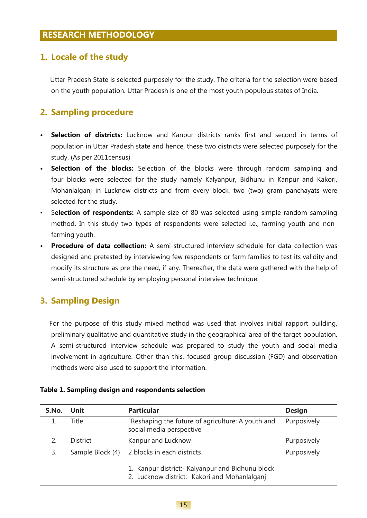### **1. Locale of the study**

 Uttar Pradesh State is selected purposely for the study. The criteria for the selection were based on the youth population. Uttar Pradesh is one of the most youth populous states of India.

### **2. Sampling procedure**

- **• Selection of districts:** Lucknow and Kanpur districts ranks first and second in terms of population in Uttar Pradesh state and hence, these two districts were selected purposely for the study. (As per 2011census)
- **• Selection of the blocks:** Selection of the blocks were through random sampling and four blocks were selected for the study namely Kalyanpur, Bidhunu in Kanpur and Kakori, Mohanlalganj in Lucknow districts and from every block, two (two) gram panchayats were selected for the study.
- S**election of respondents:** A sample size of 80 was selected using simple random sampling method. In this study two types of respondents were selected i.e., farming youth and nonfarming youth.
- **• Procedure of data collection:** A semi-structured interview schedule for data collection was designed and pretested by interviewing few respondents or farm families to test its validity and modify its structure as pre the need, if any. Thereafter, the data were gathered with the help of semi-structured schedule by employing personal interview technique.

### **3. Sampling Design**

 For the purpose of this study mixed method was used that involves initial rapport building, preliminary qualitative and quantitative study in the geographical area of the target population. A semi-structured interview schedule was prepared to study the youth and social media involvement in agriculture. Other than this, focused group discussion (FGD) and observation methods were also used to support the information.

#### **Table 1. Sampling design and respondents selection**

| S.No.                                                                                            | Unit             | <b>Particular</b>                                                              | <b>Design</b> |
|--------------------------------------------------------------------------------------------------|------------------|--------------------------------------------------------------------------------|---------------|
|                                                                                                  | Title            | "Reshaping the future of agriculture: A youth and<br>social media perspective" | Purposively   |
|                                                                                                  | <b>District</b>  | Kanpur and Lucknow                                                             | Purposively   |
| 3.                                                                                               | Sample Block (4) | 2 blocks in each districts                                                     | Purposively   |
| 1. Kanpur district: Kalyanpur and Bidhunu block<br>2. Lucknow district:- Kakori and Mohanlalganj |                  |                                                                                |               |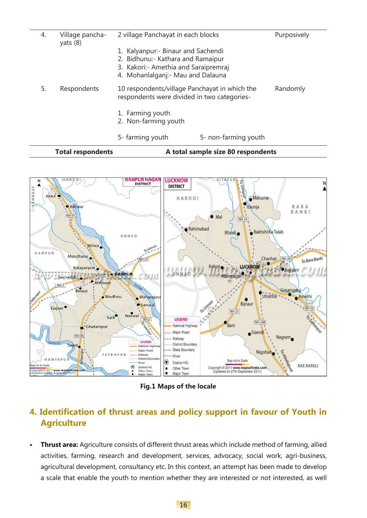|    | <b>Total respondents</b> |                                                                                                                                                     | A total sample size 80 respondents |             |
|----|--------------------------|-----------------------------------------------------------------------------------------------------------------------------------------------------|------------------------------------|-------------|
|    |                          | 5- farming youth                                                                                                                                    | 5- non-farming youth               |             |
|    |                          | 1. Farming youth<br>2. Non-farming youth                                                                                                            |                                    |             |
| 5. | Respondents              | 10 respondents/village Panchayat in which the<br>respondents were divided in two categories-                                                        |                                    | Randomly    |
|    | yats $(8)$               | 1. Kalyanpur: Binaur and Sachendi<br>2. Bidhunu:- Kathara and Ramaipur<br>3. Kakori:- Amethia and Saraipremraj<br>4. Mohanlalganj:- Mau and Dalauna |                                    |             |
| 4. | Village pancha-          | 2 village Panchayat in each blocks                                                                                                                  |                                    | Purposively |



**Fig.1 Maps of the locale**

### **4. Identification of thrust areas and policy support in favour of Youth in Agriculture**

**• Thrust area:** Agriculture consists of different thrust areas which include method of farming, allied activities, farming, research and development, services, advocacy, social work, agri-business, agricultural development, consultancy etc. In this context, an attempt has been made to develop a scale that enable the youth to mention whether they are interested or not interested, as well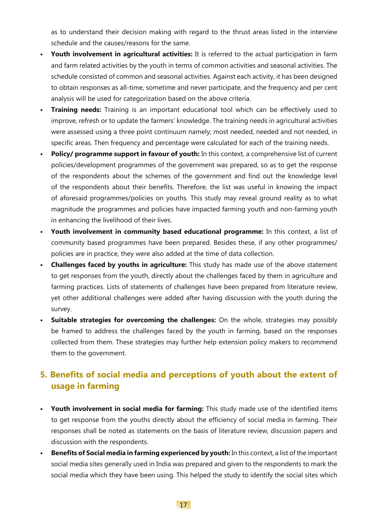as to understand their decision making with regard to the thrust areas listed in the interview schedule and the causes/reasons for the same.

- **• Youth involvement in agricultural activities:** It is referred to the actual participation in farm and farm related activities by the youth in terms of common activities and seasonal activities. The schedule consisted of common and seasonal activities. Against each activity, it has been designed to obtain responses as all-time, sometime and never participate, and the frequency and per cent analysis will be used for categorization based on the above criteria.
- **• Training needs:** Training is an important educational tool which can be effectively used to improve, refresh or to update the farmers' knowledge. The training needs in agricultural activities were assessed using a three point continuum namely; most needed, needed and not needed, in specific areas. Then frequency and percentage were calculated for each of the training needs.
- **• Policy/ programme support in favour of youth:** In this context, a comprehensive list of current policies/development programmes of the government was prepared, so as to get the response of the respondents about the schemes of the government and find out the knowledge level of the respondents about their benefits. Therefore, the list was useful in knowing the impact of aforesaid programmes/policies on youths. This study may reveal ground reality as to what magnitude the programmes and policies have impacted farming youth and non-farming youth in enhancing the livelihood of their lives.
- **• Youth involvement in community based educational programme:** In this context, a list of community based programmes have been prepared. Besides these, if any other programmes/ policies are in practice, they were also added at the time of data collection.
- **• Challenges faced by youths in agriculture:** This study has made use of the above statement to get responses from the youth, directly about the challenges faced by them in agriculture and farming practices. Lists of statements of challenges have been prepared from literature review, yet other additional challenges were added after having discussion with the youth during the survey.
- **• Suitable strategies for overcoming the challenges:** On the whole, strategies may possibly be framed to address the challenges faced by the youth in farming, based on the responses collected from them. These strategies may further help extension policy makers to recommend them to the government.

### **5. Benefits of social media and perceptions of youth about the extent of usage in farming**

- **• Youth involvement in social media for farming:** This study made use of the identified items to get response from the youths directly about the efficiency of social media in farming. Their responses shall be noted as statements on the basis of literature review, discussion papers and discussion with the respondents.
- **• Benefits of Social media in farming experienced by youth:** In this context, a list of the important social media sites generally used in India was prepared and given to the respondents to mark the social media which they have been using. This helped the study to identify the social sites which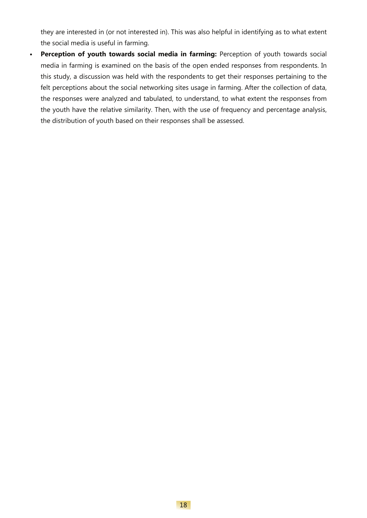they are interested in (or not interested in). This was also helpful in identifying as to what extent the social media is useful in farming.

• Perception of youth towards social media in farming: Perception of youth towards social media in farming is examined on the basis of the open ended responses from respondents. In this study, a discussion was held with the respondents to get their responses pertaining to the felt perceptions about the social networking sites usage in farming. After the collection of data, the responses were analyzed and tabulated, to understand, to what extent the responses from the youth have the relative similarity. Then, with the use of frequency and percentage analysis, the distribution of youth based on their responses shall be assessed.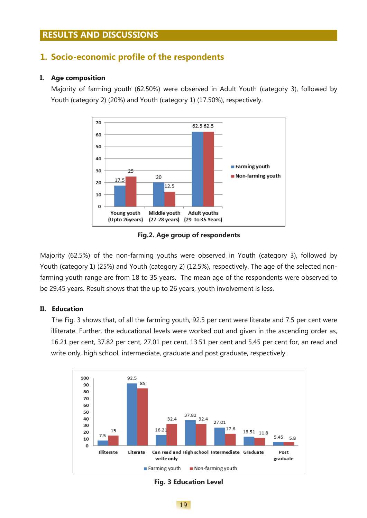#### **RESULTS AND DISCUSSIONS**

#### **1. Socio-economic profile of the respondents**

#### **I. Age composition**

Majority of farming youth (62.50%) were observed in Adult Youth (category 3), followed by Youth (category 2) (20%) and Youth (category 1) (17.50%), respectively.



**Fig.2. Age group of respondents**

Majority (62.5%) of the non-farming youths were observed in Youth (category 3), followed by Youth (category 1) (25%) and Youth (category 2) (12.5%), respectively. The age of the selected nonfarming youth range are from 18 to 35 years. The mean age of the respondents were observed to be 29.45 years. Result shows that the up to 26 years, youth involvement is less.

#### **II. Education**

 The Fig. 3 shows that, of all the farming youth, 92.5 per cent were literate and 7.5 per cent were illiterate. Further, the educational levels were worked out and given in the ascending order as, 16.21 per cent, 37.82 per cent, 27.01 per cent, 13.51 per cent and 5.45 per cent for, an read and write only, high school, intermediate, graduate and post graduate, respectively.



**Fig. 3 Education Level**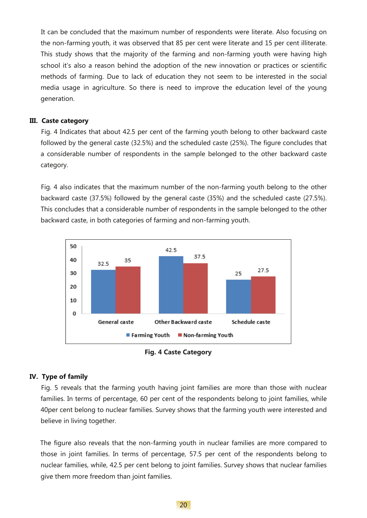It can be concluded that the maximum number of respondents were literate. Also focusing on the non-farming youth, it was observed that 85 per cent were literate and 15 per cent illiterate. This study shows that the majority of the farming and non-farming youth were having high school it's also a reason behind the adoption of the new innovation or practices or scientific methods of farming. Due to lack of education they not seem to be interested in the social media usage in agriculture. So there is need to improve the education level of the young generation.

#### **III. Caste category**

 Fig. 4 Indicates that about 42.5 per cent of the farming youth belong to other backward caste followed by the general caste (32.5%) and the scheduled caste (25%). The figure concludes that a considerable number of respondents in the sample belonged to the other backward caste category.

 Fig. 4 also indicates that the maximum number of the non-farming youth belong to the other backward caste (37.5%) followed by the general caste (35%) and the scheduled caste (27.5%). This concludes that a considerable number of respondents in the sample belonged to the other backward caste, in both categories of farming and non-farming youth.



**Fig. 4 Caste Category** 

#### **IV. Type of family**

 Fig. 5 reveals that the farming youth having joint families are more than those with nuclear families. In terms of percentage, 60 per cent of the respondents belong to joint families, while 40per cent belong to nuclear families. Survey shows that the farming youth were interested and believe in living together.

 The figure also reveals that the non-farming youth in nuclear families are more compared to those in joint families. In terms of percentage, 57.5 per cent of the respondents belong to nuclear families, while, 42.5 per cent belong to joint families. Survey shows that nuclear families give them more freedom than joint families.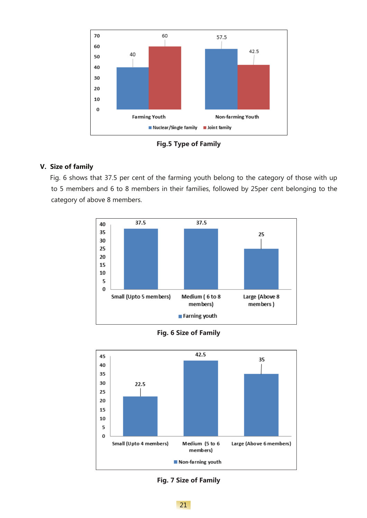

**Fig.5 Type of Family**

#### **V. Size of family**

 Fig. 6 shows that 37.5 per cent of the farming youth belong to the category of those with up to 5 members and 6 to 8 members in their families, followed by 25per cent belonging to the category of above 8 members.







**Fig. 7 Size of Family**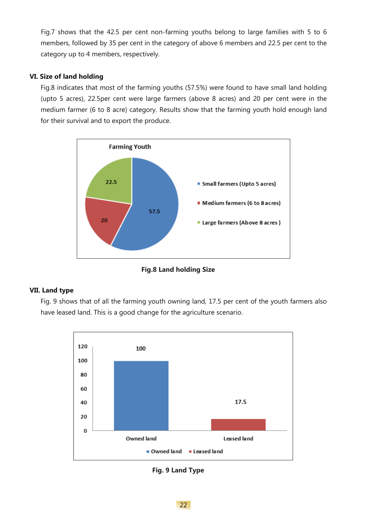Fig.7 shows that the 42.5 per cent non-farming youths belong to large families with 5 to 6 members, followed by 35 per cent in the category of above 6 members and 22.5 per cent to the category up to 4 members, respectively.

#### **VI. Size of land holding**

Fig.8 indicates that most of the farming youths (57.5%) were found to have small land holding (upto 5 acres), 22.5per cent were large farmers (above 8 acres) and 20 per cent were in the medium farmer (6 to 8 acre) category. Results show that the farming youth hold enough land for their survival and to export the produce.



**Fig.8 Land holding Size**

#### **VII. Land type**

 Fig. 9 shows that of all the farming youth owning land, 17.5 per cent of the youth farmers also have leased land. This is a good change for the agriculture scenario.



**Fig. 9 Land Type**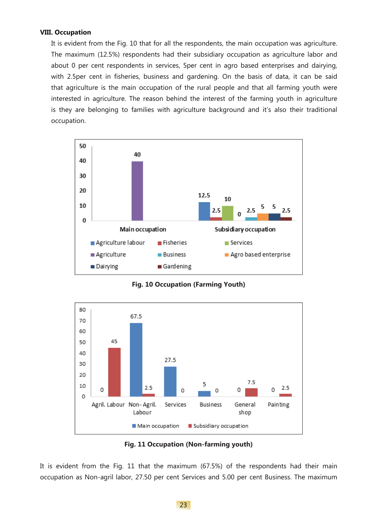#### **VIII. Occupation**

 It is evident from the Fig. 10 that for all the respondents, the main occupation was agriculture. The maximum (12.5%) respondents had their subsidiary occupation as agriculture labor and about 0 per cent respondents in services, 5per cent in agro based enterprises and dairying, with 2.5per cent in fisheries, business and gardening. On the basis of data, it can be said that agriculture is the main occupation of the rural people and that all farming youth were interested in agriculture. The reason behind the interest of the farming youth in agriculture is they are belonging to families with agriculture background and it's also their traditional occupation.



**Fig. 10 Occupation (Farming Youth)**





It is evident from the Fig. 11 that the maximum (67.5%) of the respondents had their main occupation as Non-agril labor, 27.50 per cent Services and 5.00 per cent Business. The maximum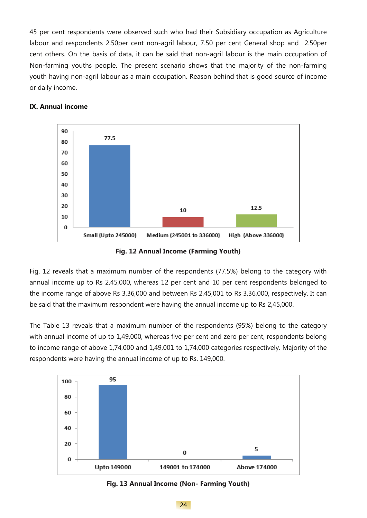45 per cent respondents were observed such who had their Subsidiary occupation as Agriculture labour and respondents 2.50per cent non-agril labour, 7.50 per cent General shop and 2.50per cent others. On the basis of data, it can be said that non-agril labour is the main occupation of Non-farming youths people. The present scenario shows that the majority of the non-farming youth having non-agril labour as a main occupation. Reason behind that is good source of income or daily income.



#### **IX. Annual income**

**Fig. 12 Annual Income (Farming Youth)**

Fig. 12 reveals that a maximum number of the respondents (77.5%) belong to the category with annual income up to Rs 2,45,000, whereas 12 per cent and 10 per cent respondents belonged to the income range of above Rs 3,36,000 and between Rs 2,45,001 to Rs 3,36,000, respectively. It can be said that the maximum respondent were having the annual income up to Rs 2,45,000.

The Table 13 reveals that a maximum number of the respondents (95%) belong to the category with annual income of up to 1,49,000, whereas five per cent and zero per cent, respondents belong to income range of above 1,74,000 and 1,49,001 to 1,74,000 categories respectively. Majority of the respondents were having the annual income of up to Rs. 149,000.



**Fig. 13 Annual Income (Non- Farming Youth)**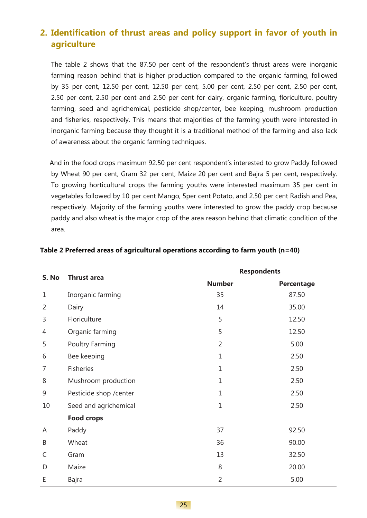### **2. Identification of thrust areas and policy support in favor of youth in agriculture**

 The table 2 shows that the 87.50 per cent of the respondent's thrust areas were inorganic farming reason behind that is higher production compared to the organic farming, followed by 35 per cent, 12.50 per cent, 12.50 per cent, 5.00 per cent, 2.50 per cent, 2.50 per cent, 2.50 per cent, 2.50 per cent and 2.50 per cent for dairy, organic farming, floriculture, poultry farming, seed and agrichemical, pesticide shop/center, bee keeping, mushroom production and fisheries, respectively. This means that majorities of the farming youth were interested in inorganic farming because they thought it is a traditional method of the farming and also lack of awareness about the organic farming techniques.

 And in the food crops maximum 92.50 per cent respondent's interested to grow Paddy followed by Wheat 90 per cent, Gram 32 per cent, Maize 20 per cent and Bajra 5 per cent, respectively. To growing horticultural crops the farming youths were interested maximum 35 per cent in vegetables followed by 10 per cent Mango, 5per cent Potato, and 2.50 per cent Radish and Pea, respectively. Majority of the farming youths were interested to grow the paddy crop because paddy and also wheat is the major crop of the area reason behind that climatic condition of the area.

| S. No          | <b>Respondents</b><br><b>Thrust area</b> |                |                   |
|----------------|------------------------------------------|----------------|-------------------|
|                |                                          | <b>Number</b>  | <b>Percentage</b> |
| $\mathbf{1}$   | Inorganic farming                        | 35             | 87.50             |
| $\overline{2}$ | Dairy                                    | 14             | 35.00             |
| 3              | Floriculture                             | 5              | 12.50             |
| 4              | Organic farming                          | 5              | 12.50             |
| 5              | <b>Poultry Farming</b>                   | $\overline{2}$ | 5.00              |
| 6              | Bee keeping                              | $\mathbf{1}$   | 2.50              |
| 7              | Fisheries                                | $\mathbf{1}$   | 2.50              |
| 8              | Mushroom production                      | $\mathbf{1}$   | 2.50              |
| 9              | Pesticide shop / center                  | $\mathbf{1}$   | 2.50              |
| 10             | Seed and agrichemical                    | $\mathbf{1}$   | 2.50              |
|                | <b>Food crops</b>                        |                |                   |
| A              | Paddy                                    | 37             | 92.50             |
| B              | Wheat                                    | 36             | 90.00             |
| C              | Gram                                     | 13             | 32.50             |
| D              | Maize                                    | 8              | 20.00             |
| E              | <b>Bajra</b>                             | $\overline{2}$ | 5.00              |

#### **Table 2 Preferred areas of agricultural operations according to farm youth (n=40)**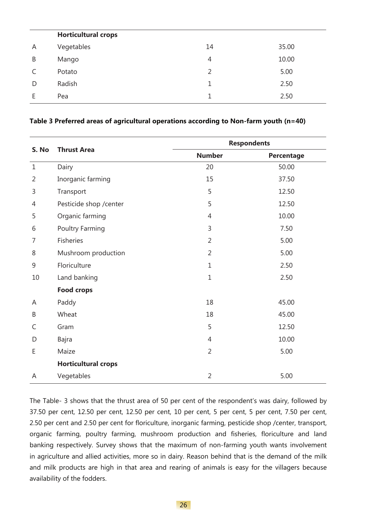|   | <b>Horticultural crops</b> |                |       |
|---|----------------------------|----------------|-------|
| A | Vegetables                 | 14             | 35.00 |
| B | Mango                      | 4              | 10.00 |
| C | Potato                     | $\overline{2}$ | 5.00  |
| D | Radish                     | 1              | 2.50  |
|   | Pea                        | 1              | 2.50  |

#### **Table 3 Preferred areas of agricultural operations according to Non-farm youth (n=40)**

| S. No          | <b>Thrust Area</b>         |                | <b>Respondents</b> |  |
|----------------|----------------------------|----------------|--------------------|--|
|                |                            | <b>Number</b>  | <b>Percentage</b>  |  |
| $\mathbf{1}$   | Dairy                      | 20             | 50.00              |  |
| $\overline{2}$ | Inorganic farming          | 15             | 37.50              |  |
| 3              | Transport                  | 5              | 12.50              |  |
| 4              | Pesticide shop / center    | 5              | 12.50              |  |
| 5              | Organic farming            | 4              | 10.00              |  |
| 6              | <b>Poultry Farming</b>     | 3              | 7.50               |  |
| 7              | Fisheries                  | $\overline{2}$ | 5.00               |  |
| 8              | Mushroom production        | $\overline{2}$ | 5.00               |  |
| 9              | Floriculture               | $\mathbf{1}$   | 2.50               |  |
| 10             | Land banking               | $\mathbf{1}$   | 2.50               |  |
|                | <b>Food crops</b>          |                |                    |  |
| A              | Paddy                      | 18             | 45.00              |  |
| B              | Wheat                      | 18             | 45.00              |  |
| C              | Gram                       | 5              | 12.50              |  |
| D              | <b>Bajra</b>               | 4              | 10.00              |  |
| E              | Maize                      | $\overline{2}$ | 5.00               |  |
|                | <b>Horticultural crops</b> |                |                    |  |
| A              | Vegetables                 | $\overline{2}$ | 5.00               |  |

The Table- 3 shows that the thrust area of 50 per cent of the respondent's was dairy, followed by 37.50 per cent, 12.50 per cent, 12.50 per cent, 10 per cent, 5 per cent, 5 per cent, 7.50 per cent, 2.50 per cent and 2.50 per cent for floriculture, inorganic farming, pesticide shop /center, transport, organic farming, poultry farming, mushroom production and fisheries, floriculture and land banking respectively. Survey shows that the maximum of non-farming youth wants involvement in agriculture and allied activities, more so in dairy. Reason behind that is the demand of the milk and milk products are high in that area and rearing of animals is easy for the villagers because availability of the fodders.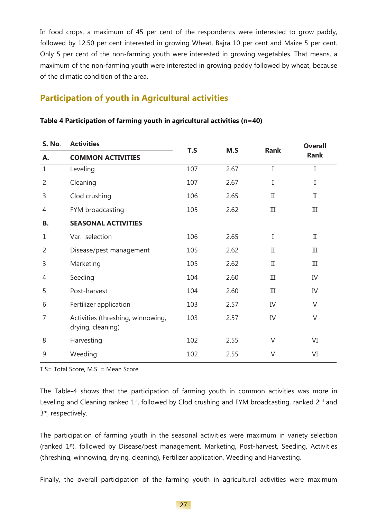In food crops, a maximum of 45 per cent of the respondents were interested to grow paddy, followed by 12.50 per cent interested in growing Wheat, Bajra 10 per cent and Maize 5 per cent. Only 5 per cent of the non-farming youth were interested in growing vegetables. That means, a maximum of the non-farming youth were interested in growing paddy followed by wheat, because of the climatic condition of the area.

# **Participation of youth in Agricultural activities**

| <b>S. No.</b>  | <b>Activities</b>                                      | T.S | M.S  | <b>Rank</b>  | <b>Overall</b> |
|----------------|--------------------------------------------------------|-----|------|--------------|----------------|
| Α.             | <b>COMMON ACTIVITIES</b>                               |     |      |              | <b>Rank</b>    |
| $\mathbf{1}$   | Leveling                                               | 107 | 2.67 | I            | I              |
| $\overline{2}$ | Cleaning                                               | 107 | 2.67 | I            | I              |
| 3              | Clod crushing                                          | 106 | 2.65 | $\rm{II}$    | $_{\rm II}$    |
| 4              | FYM broadcasting                                       | 105 | 2.62 | III          | III            |
| В.             | <b>SEASONAL ACTIVITIES</b>                             |     |      |              |                |
| 1              | Var. selection                                         | 106 | 2.65 | I            | $\mathbf{I}$   |
| $\overline{2}$ | Disease/pest management                                | 105 | 2.62 | $\rm _{II}$  | III            |
| 3              | Marketing                                              | 105 | 2.62 | $\mathbf{I}$ | III            |
| 4              | Seeding                                                | 104 | 2.60 | $\rm III$    | IV             |
| 5              | Post-harvest                                           | 104 | 2.60 | III          | IV             |
| 6              | Fertilizer application                                 | 103 | 2.57 | IV           | $\vee$         |
| 7              | Activities (threshing, winnowing,<br>drying, cleaning) | 103 | 2.57 | IV           | $\vee$         |
| 8              | Harvesting                                             | 102 | 2.55 | V            | VI             |
| 9              | Weeding                                                | 102 | 2.55 | V            | VI             |
|                |                                                        |     |      |              |                |

#### **Table 4 Participation of farming youth in agricultural activities (n=40)**

T.S= Total Score, M.S. = Mean Score

The Table-4 shows that the participation of farming youth in common activities was more in Leveling and Cleaning ranked  $1<sup>st</sup>$ , followed by Clod crushing and FYM broadcasting, ranked  $2<sup>nd</sup>$  and 3rd, respectively.

The participation of farming youth in the seasonal activities were maximum in variety selection (ranked 1<sup>st</sup>), followed by Disease/pest management, Marketing, Post-harvest, Seeding, Activities (threshing, winnowing, drying, cleaning), Fertilizer application, Weeding and Harvesting.

Finally, the overall participation of the farming youth in agricultural activities were maximum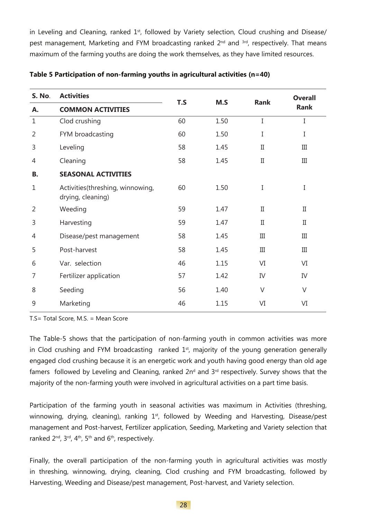in Leveling and Cleaning, ranked 1<sup>st</sup>, followed by Variety selection, Cloud crushing and Disease/ pest management, Marketing and FYM broadcasting ranked 2<sup>nd</sup> and <sup>3rd</sup>, respectively. That means maximum of the farming youths are doing the work themselves, as they have limited resources.

| <b>S. No.</b>  | <b>Activities</b>                                      |     | M.S  | <b>Rank</b>  | <b>Overall</b> |
|----------------|--------------------------------------------------------|-----|------|--------------|----------------|
| Α.             | <b>COMMON ACTIVITIES</b>                               | T.S |      |              | <b>Rank</b>    |
| $\mathbf{1}$   | Clod crushing                                          | 60  | 1.50 | I            | I              |
| $\overline{2}$ | FYM broadcasting                                       | 60  | 1.50 | I            | Ι              |
| 3              | Leveling                                               | 58  | 1.45 | $\rm II$     | III            |
| 4              | Cleaning                                               | 58  | 1.45 | $\mathbf{I}$ | III            |
| <b>B.</b>      | <b>SEASONAL ACTIVITIES</b>                             |     |      |              |                |
| 1              | Activities (threshing, winnowing,<br>drying, cleaning) | 60  | 1.50 | I            | I              |
| $\overline{2}$ | Weeding                                                | 59  | 1.47 | $\mathbf{I}$ | $_{\rm II}$    |
| 3              | Harvesting                                             | 59  | 1.47 | $\mathbf{I}$ | $_{\rm II}$    |
| 4              | Disease/pest management                                | 58  | 1.45 | Ш            | III            |
| 5              | Post-harvest                                           | 58  | 1.45 | III          | III            |
| 6              | Var. selection                                         | 46  | 1.15 | VI           | VI             |
| 7              | Fertilizer application                                 | 57  | 1.42 | IV           | IV             |
| 8              | Seeding                                                | 56  | 1.40 | $\vee$       | $\vee$         |
| 9              | Marketing                                              | 46  | 1.15 | VI           | VI             |

**Table 5 Participation of non-farming youths in agricultural activities (n=40)**

T.S= Total Score, M.S. = Mean Score

The Table-5 shows that the participation of non-farming youth in common activities was more in Clod crushing and FYM broadcasting ranked  $1<sup>st</sup>$ , majority of the young generation generally engaged clod crushing because it is an energetic work and youth having good energy than old age famers followed by Leveling and Cleaning, ranked 2n<sup>d</sup> and 3<sup>rd</sup> respectively. Survey shows that the majority of the non-farming youth were involved in agricultural activities on a part time basis.

Participation of the farming youth in seasonal activities was maximum in Activities (threshing, winnowing, drying, cleaning), ranking  $1<sup>st</sup>$ , followed by Weeding and Harvesting, Disease/pest management and Post-harvest, Fertilizer application, Seeding, Marketing and Variety selection that ranked 2<sup>nd</sup>, 3<sup>rd</sup>, 4<sup>th</sup>, 5<sup>th</sup> and 6<sup>th</sup>, respectively.

Finally, the overall participation of the non-farming youth in agricultural activities was mostly in threshing, winnowing, drying, cleaning, Clod crushing and FYM broadcasting, followed by Harvesting, Weeding and Disease/pest management, Post-harvest, and Variety selection.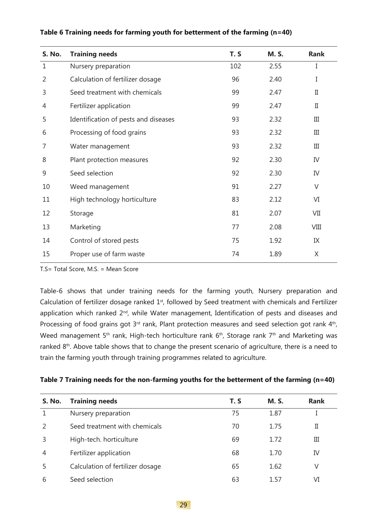| S. No.         | <b>Training needs</b>                | T.S | <b>M.S.</b> | Rank        |
|----------------|--------------------------------------|-----|-------------|-------------|
| $\mathbf{1}$   | Nursery preparation                  | 102 | 2.55        | I           |
| $\overline{2}$ | Calculation of fertilizer dosage     | 96  | 2.40        | I           |
| 3              | Seed treatment with chemicals        | 99  | 2.47        | $_{\rm II}$ |
| 4              | Fertilizer application               | 99  | 2.47        | $_{\rm II}$ |
| 5              | Identification of pests and diseases | 93  | 2.32        | III         |
| 6              | Processing of food grains            | 93  | 2.32        | III         |
| 7              | Water management                     | 93  | 2.32        | III         |
| 8              | Plant protection measures            | 92  | 2.30        | IV          |
| 9              | Seed selection                       | 92  | 2.30        | IV          |
| 10             | Weed management                      | 91  | 2.27        | $\vee$      |
| 11             | High technology horticulture         | 83  | 2.12        | VI          |
| 12             | Storage                              | 81  | 2.07        | VII         |
| 13             | Marketing                            | 77  | 2.08        | VIII        |
| 14             | Control of stored pests              | 75  | 1.92        | IX          |
| 15             | Proper use of farm waste             | 74  | 1.89        | Χ           |

#### **Table 6 Training needs for farming youth for betterment of the farming (n=40)**

T.S= Total Score, M.S. = Mean Score

Table-6 shows that under training needs for the farming youth, Nursery preparation and Calculation of fertilizer dosage ranked 1<sup>st</sup>, followed by Seed treatment with chemicals and Fertilizer application which ranked 2<sup>nd</sup>, while Water management, Identification of pests and diseases and Processing of food grains got  $3<sup>rd</sup>$  rank, Plant protection measures and seed selection got rank  $4<sup>th</sup>$ , Weed management 5<sup>th</sup> rank, High-tech horticulture rank 6<sup>th</sup>, Storage rank 7<sup>th</sup> and Marketing was ranked 8<sup>th</sup>. Above table shows that to change the present scenario of agriculture, there is a need to train the farming youth through training programmes related to agriculture.

|  | Table 7 Training needs for the non-farming youths for the betterment of the farming (n=40) |  |  |
|--|--------------------------------------------------------------------------------------------|--|--|
|  |                                                                                            |  |  |

| <b>S. No.</b>  | <b>Training needs</b>            | T. S | <b>M.S.</b> | <b>Rank</b> |
|----------------|----------------------------------|------|-------------|-------------|
|                | Nursery preparation              | 75   | 1.87        |             |
| $\mathcal{P}$  | Seed treatment with chemicals    | 70   | 1.75        | П           |
| 3              | High-tech. horticulture          | 69   | 1.72        | Ш           |
| $\overline{A}$ | Fertilizer application           | 68   | 1.70        | IV          |
| 5              | Calculation of fertilizer dosage | 65   | 1.62        | V           |
| 6              | Seed selection                   | 63   | 1.57        | VI          |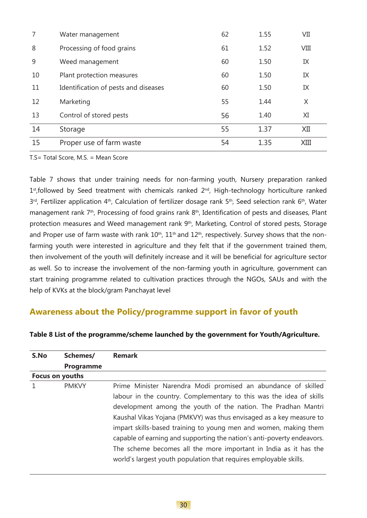|    | Water management                     | 62 | 1.55 | VII  |
|----|--------------------------------------|----|------|------|
| 8  | Processing of food grains            | 61 | 1.52 | VIII |
| 9  | Weed management                      | 60 | 1.50 | IX   |
| 10 | Plant protection measures            | 60 | 1.50 | IX   |
| 11 | Identification of pests and diseases | 60 | 1.50 | IX   |
| 12 | Marketing                            | 55 | 1.44 | X    |
| 13 | Control of stored pests              | 56 | 1.40 | XI   |
| 14 | Storage                              | 55 | 1.37 | XII  |
| 15 | Proper use of farm waste             | 54 | 1.35 | XIII |

T.S= Total Score, M.S. = Mean Score

Table 7 shows that under training needs for non-farming youth, Nursery preparation ranked  $1<sup>st</sup>$ , followed by Seed treatment with chemicals ranked  $2<sup>nd</sup>$ , High-technology horticulture ranked 3<sup>rd</sup>, Fertilizer application 4<sup>th</sup>, Calculation of fertilizer dosage rank 5<sup>th</sup>, Seed selection rank 6<sup>th</sup>, Water management rank 7th, Processing of food grains rank 8th, Identification of pests and diseases, Plant protection measures and Weed management rank 9<sup>th</sup>, Marketing, Control of stored pests, Storage and Proper use of farm waste with rank  $10^{th}$ ,  $11^{th}$  and  $12^{th}$ , respectively. Survey shows that the nonfarming youth were interested in agriculture and they felt that if the government trained them, then involvement of the youth will definitely increase and it will be beneficial for agriculture sector as well. So to increase the involvement of the non-farming youth in agriculture, government can start training programme related to cultivation practices through the NGOs, SAUs and with the help of KVKs at the block/gram Panchayat level

## **Awareness about the Policy/programme support in favor of youth**

| S.No            | Schemes/         | <b>Remark</b>                                                          |  |  |  |  |
|-----------------|------------------|------------------------------------------------------------------------|--|--|--|--|
|                 | <b>Programme</b> |                                                                        |  |  |  |  |
| Focus on youths |                  |                                                                        |  |  |  |  |
|                 | <b>PMKVY</b>     | Prime Minister Narendra Modi promised an abundance of skilled          |  |  |  |  |
|                 |                  | labour in the country. Complementary to this was the idea of skills    |  |  |  |  |
|                 |                  | development among the youth of the nation. The Pradhan Mantri          |  |  |  |  |
|                 |                  | Kaushal Vikas Yojana (PMKVY) was thus envisaged as a key measure to    |  |  |  |  |
|                 |                  | impart skills-based training to young men and women, making them       |  |  |  |  |
|                 |                  | capable of earning and supporting the nation's anti-poverty endeavors. |  |  |  |  |
|                 |                  | The scheme becomes all the more important in India as it has the       |  |  |  |  |
|                 |                  | world's largest youth population that requires employable skills.      |  |  |  |  |

#### **Table 8 List of the programme/scheme launched by the government for Youth/Agriculture.**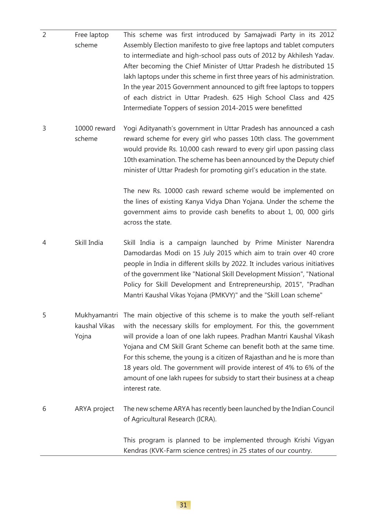| $\overline{2}$ | Free laptop<br>scheme                  | This scheme was first introduced by Samajwadi Party in its 2012<br>Assembly Election manifesto to give free laptops and tablet computers<br>to intermediate and high-school pass outs of 2012 by Akhilesh Yadav.<br>After becoming the Chief Minister of Uttar Pradesh he distributed 15<br>lakh laptops under this scheme in first three years of his administration.<br>In the year 2015 Government announced to gift free laptops to toppers<br>of each district in Uttar Pradesh. 625 High School Class and 425<br>Intermediate Toppers of session 2014-2015 were benefitted                     |
|----------------|----------------------------------------|------------------------------------------------------------------------------------------------------------------------------------------------------------------------------------------------------------------------------------------------------------------------------------------------------------------------------------------------------------------------------------------------------------------------------------------------------------------------------------------------------------------------------------------------------------------------------------------------------|
| 3              | 10000 reward<br>scheme                 | Yogi Adityanath's government in Uttar Pradesh has announced a cash<br>reward scheme for every girl who passes 10th class. The government<br>would provide Rs. 10,000 cash reward to every girl upon passing class<br>10th examination. The scheme has been announced by the Deputy chief<br>minister of Uttar Pradesh for promoting girl's education in the state.<br>The new Rs. 10000 cash reward scheme would be implemented on<br>the lines of existing Kanya Vidya Dhan Yojana. Under the scheme the<br>government aims to provide cash benefits to about 1, 00, 000 girls<br>across the state. |
| 4              | Skill India                            | Skill India is a campaign launched by Prime Minister Narendra<br>Damodardas Modi on 15 July 2015 which aim to train over 40 crore<br>people in India in different skills by 2022. It includes various initiatives<br>of the government like "National Skill Development Mission", "National<br>Policy for Skill Development and Entrepreneurship, 2015", "Pradhan<br>Mantri Kaushal Vikas Yojana (PMKVY)" and the "Skill Loan scheme"                                                                                                                                                                |
| 5              | Mukhyamantri<br>kaushal Vikas<br>Yojna | The main objective of this scheme is to make the youth self-reliant<br>with the necessary skills for employment. For this, the government<br>will provide a loan of one lakh rupees. Pradhan Mantri Kaushal Vikash<br>Yojana and CM Skill Grant Scheme can benefit both at the same time.<br>For this scheme, the young is a citizen of Rajasthan and he is more than<br>18 years old. The government will provide interest of 4% to 6% of the<br>amount of one lakh rupees for subsidy to start their business at a cheap<br>interest rate.                                                         |
| 6              | ARYA project                           | The new scheme ARYA has recently been launched by the Indian Council<br>of Agricultural Research (ICRA).                                                                                                                                                                                                                                                                                                                                                                                                                                                                                             |
|                |                                        | This program is planned to be implemented through Krishi Vigyan<br>Kendras (KVK-Farm science centres) in 25 states of our country.                                                                                                                                                                                                                                                                                                                                                                                                                                                                   |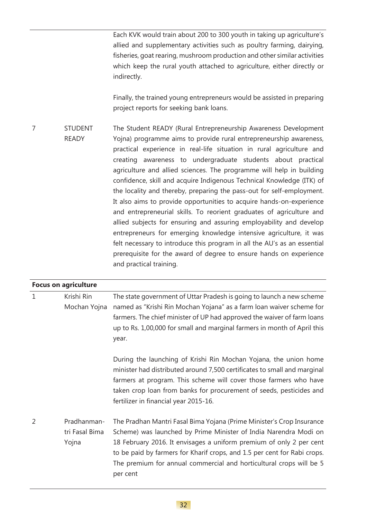Each KVK would train about 200 to 300 youth in taking up agriculture's allied and supplementary activities such as poultry farming, dairying, fisheries, goat rearing, mushroom production and other similar activities which keep the rural youth attached to agriculture, either directly or indirectly.

Finally, the trained young entrepreneurs would be assisted in preparing project reports for seeking bank loans.

7 STUDENT READY The Student READY (Rural Entrepreneurship Awareness Development Yojna) programme aims to provide rural entrepreneurship awareness, practical experience in real-life situation in rural agriculture and creating awareness to undergraduate students about practical agriculture and allied sciences. The programme will help in building confidence, skill and acquire Indigenous Technical Knowledge (ITK) of the locality and thereby, preparing the pass-out for self-employment. It also aims to provide opportunities to acquire hands-on-experience and entrepreneurial skills. To reorient graduates of agriculture and allied subjects for ensuring and assuring employability and develop entrepreneurs for emerging knowledge intensive agriculture, it was felt necessary to introduce this program in all the AU's as an essential prerequisite for the award of degree to ensure hands on experience and practical training.

|              | <b>Focus on agriculture</b>            |                                                                                                                                                                                                                                                                                                                                                                                 |
|--------------|----------------------------------------|---------------------------------------------------------------------------------------------------------------------------------------------------------------------------------------------------------------------------------------------------------------------------------------------------------------------------------------------------------------------------------|
| $\mathbf{1}$ | Krishi Rin<br>Mochan Yojna             | The state government of Uttar Pradesh is going to launch a new scheme<br>named as "Krishi Rin Mochan Yojana" as a farm loan waiver scheme for<br>farmers. The chief minister of UP had approved the waiver of farm loans<br>up to Rs. 1,00,000 for small and marginal farmers in month of April this<br>year.                                                                   |
|              |                                        | During the launching of Krishi Rin Mochan Yojana, the union home<br>minister had distributed around 7,500 certificates to small and marginal<br>farmers at program. This scheme will cover those farmers who have<br>taken crop loan from banks for procurement of seeds, pesticides and<br>fertilizer in financial year 2015-16.                                               |
| 2            | Pradhanman-<br>tri Fasal Bima<br>Yojna | The Pradhan Mantri Fasal Bima Yojana (Prime Minister's Crop Insurance<br>Scheme) was launched by Prime Minister of India Narendra Modi on<br>18 February 2016. It envisages a uniform premium of only 2 per cent<br>to be paid by farmers for Kharif crops, and 1.5 per cent for Rabi crops.<br>The premium for annual commercial and horticultural crops will be 5<br>per cent |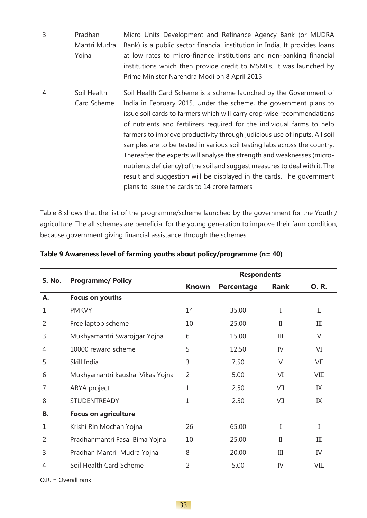| $\overline{3}$ | Pradhan      | Micro Units Development and Refinance Agency Bank (or MUDRA                 |
|----------------|--------------|-----------------------------------------------------------------------------|
|                | Mantri Mudra | Bank) is a public sector financial institution in India. It provides loans  |
|                | Yojna        | at low rates to micro-finance institutions and non-banking financial        |
|                |              | institutions which then provide credit to MSMEs. It was launched by         |
|                |              | Prime Minister Narendra Modi on 8 April 2015                                |
| 4              | Soil Health  | Soil Health Card Scheme is a scheme launched by the Government of           |
|                | Card Scheme  | India in February 2015. Under the scheme, the government plans to           |
|                |              | issue soil cards to farmers which will carry crop-wise recommendations      |
|                |              | of nutrients and fertilizers required for the individual farms to help      |
|                |              | farmers to improve productivity through judicious use of inputs. All soil   |
|                |              | samples are to be tested in various soil testing labs across the country.   |
|                |              | Thereafter the experts will analyse the strength and weaknesses (micro-     |
|                |              | nutrients deficiency) of the soil and suggest measures to deal with it. The |
|                |              | result and suggestion will be displayed in the cards. The government        |
|                |              | plans to issue the cards to 14 crore farmers                                |
|                |              |                                                                             |

Table 8 shows that the list of the programme/scheme launched by the government for the Youth / agriculture. The all schemes are beneficial for the young generation to improve their farm condition, because government giving financial assistance through the schemes.

|                |                                  | <b>Respondents</b> |            |             |             |
|----------------|----------------------------------|--------------------|------------|-------------|-------------|
| <b>S. No.</b>  | <b>Programme/ Policy</b>         | <b>Known</b>       | Percentage | <b>Rank</b> | <b>O.R.</b> |
| Α.             | Focus on youths                  |                    |            |             |             |
| 1              | <b>PMKVY</b>                     | 14                 | 35.00      | I           | $_{\rm II}$ |
| $\overline{2}$ | Free laptop scheme               | 10                 | 25.00      | $_{\rm II}$ | III         |
| 3              | Mukhyamantri Swarojgar Yojna     | 6                  | 15.00      | Ш           | $\vee$      |
| 4              | 10000 reward scheme              | 5                  | 12.50      | IV          | VI          |
| 5              | Skill India                      | 3                  | 7.50       | V           | VII         |
| 6              | Mukhyamantri kaushal Vikas Yojna | $\overline{2}$     | 5.00       | VI          | VIII        |
| 7              | ARYA project                     | 1                  | 2.50       | VII         | IX          |
| 8              | <b>STUDENTREADY</b>              | $\mathbf{1}$       | 2.50       | VII         | IX          |
| В.             | <b>Focus on agriculture</b>      |                    |            |             |             |
| 1              | Krishi Rin Mochan Yojna          | 26                 | 65.00      | I           | I           |
| 2              | Pradhanmantri Fasal Bima Yojna   | 10                 | 25.00      | $_{\rm II}$ | III         |
| 3              | Pradhan Mantri Mudra Yojna       | 8                  | 20.00      | III         | IV          |
| 4              | Soil Health Card Scheme          | 2                  | 5.00       | IV          | VIII        |

### **Table 9 Awareness level of farming youths about policy/programme (n= 40)**

O.R. = Overall rank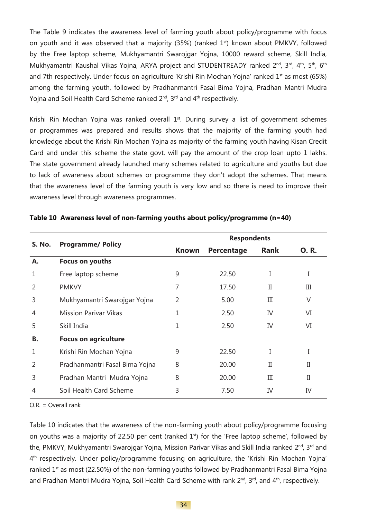The Table 9 indicates the awareness level of farming youth about policy/programme with focus on youth and it was observed that a majority (35%) (ranked 1<sup>st</sup>) known about PMKVY, followed by the Free laptop scheme, Mukhyamantri Swarojgar Yojna, 10000 reward scheme, Skill India, Mukhyamantri Kaushal Vikas Yojna, ARYA project and STUDENTREADY ranked 2<sup>nd</sup>, 3<sup>rd</sup>, 4<sup>th</sup>, 5<sup>th</sup>, 6<sup>th</sup> and 7th respectively. Under focus on agriculture 'Krishi Rin Mochan Yojna' ranked 1<sup>st</sup> as most (65%) among the farming youth, followed by Pradhanmantri Fasal Bima Yojna, Pradhan Mantri Mudra Yojna and Soil Health Card Scheme ranked 2<sup>nd</sup>, 3<sup>rd</sup> and 4<sup>th</sup> respectively.

Krishi Rin Mochan Yojna was ranked overall 1<sup>st</sup>. During survey a list of government schemes or programmes was prepared and results shows that the majority of the farming youth had knowledge about the Krishi Rin Mochan Yojna as majority of the farming youth having Kisan Credit Card and under this scheme the state govt. will pay the amount of the crop loan upto 1 lakhs. The state government already launched many schemes related to agriculture and youths but due to lack of awareness about schemes or programme they don't adopt the schemes. That means that the awareness level of the farming youth is very low and so there is need to improve their awareness level through awareness programmes.

|                |                                | <b>Respondents</b> |            |              |             |  |
|----------------|--------------------------------|--------------------|------------|--------------|-------------|--|
| <b>S. No.</b>  | <b>Programme/ Policy</b>       | <b>Known</b>       | Percentage | <b>Rank</b>  | <b>O.R.</b> |  |
| Α.             | Focus on youths                |                    |            |              |             |  |
| 1              | Free laptop scheme             | 9                  | 22.50      |              | I           |  |
| $\overline{2}$ | <b>PMKVY</b>                   | 7                  | 17.50      | П            | Ш           |  |
| 3              | Mukhyamantri Swarojgar Yojna   | 2                  | 5.00       | Ш            | V           |  |
| 4              | <b>Mission Parivar Vikas</b>   | 1                  | 2.50       | IV           | VI          |  |
| 5              | Skill India                    | 1                  | 2.50       | IV           | VI          |  |
| В.             | <b>Focus on agriculture</b>    |                    |            |              |             |  |
| 1              | Krishi Rin Mochan Yojna        | 9                  | 22.50      |              | I           |  |
| $\overline{2}$ | Pradhanmantri Fasal Bima Yojna | 8                  | 20.00      | $\mathbf{I}$ | Π           |  |
| 3              | Pradhan Mantri Mudra Yojna     | 8                  | 20.00      | Ш            | П           |  |
| 4              | Soil Health Card Scheme        | 3                  | 7.50       | IV           | IV          |  |

#### **Table 10 Awareness level of non-farming youths about policy/programme (n=40)**

O.R. = Overall rank

Table 10 indicates that the awareness of the non-farming youth about policy/programme focusing on youths was a majority of 22.50 per cent (ranked  $1<sup>st</sup>$ ) for the 'Free laptop scheme', followed by the, PMKVY, Mukhyamantri Swarojgar Yojna, Mission Parivar Vikas and Skill India ranked 2<sup>nd</sup>, 3<sup>rd</sup> and 4th respectively. Under policy/programme focusing on agriculture, the 'Krishi Rin Mochan Yojna' ranked 1<sup>st</sup> as most (22.50%) of the non-farming youths followed by Pradhanmantri Fasal Bima Yojna and Pradhan Mantri Mudra Yojna, Soil Health Card Scheme with rank 2<sup>nd</sup>, 3<sup>rd</sup>, and 4<sup>th</sup>, respectively.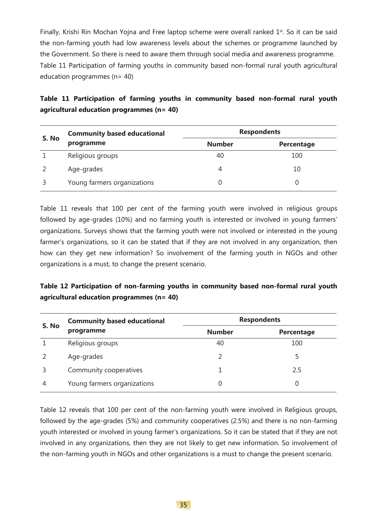Finally, Krishi Rin Mochan Yojna and Free laptop scheme were overall ranked  $1<sup>st</sup>$ . So it can be said the non-farming youth had low awareness levels about the schemes or programme launched by the Government. So there is need to aware them through social media and awareness programme. Table 11 Participation of farming youths in community based non-formal rural youth agricultural education programmes  $(n= 40)$ 

**Table 11 Participation of farming youths in community based non-formal rural youth agricultural education programmes (n= 40)**

| S. No | <b>Community based educational</b> | <b>Respondents</b> |            |
|-------|------------------------------------|--------------------|------------|
|       | programme                          | <b>Number</b>      | Percentage |
|       | Religious groups                   | 40                 | 100        |
|       | Age-grades                         |                    | 10         |
|       | Young farmers organizations        |                    |            |

Table 11 reveals that 100 per cent of the farming youth were involved in religious groups followed by age-grades (10%) and no farming youth is interested or involved in young farmers' organizations. Surveys shows that the farming youth were not involved or interested in the young farmer's organizations, so it can be stated that if they are not involved in any organization, then how can they get new information? So involvement of the farming youth in NGOs and other organizations is a must, to change the present scenario.

## **Table 12 Participation of non-farming youths in community based non-formal rural youth agricultural education programmes (n= 40)**

| S. No | <b>Community based educational</b> | <b>Respondents</b> |            |  |
|-------|------------------------------------|--------------------|------------|--|
|       | programme                          | <b>Number</b>      | Percentage |  |
|       | Religious groups                   | 40                 | 100        |  |
|       | Age-grades                         |                    |            |  |
|       | Community cooperatives             |                    | 2.5        |  |
| 4     | Young farmers organizations        |                    |            |  |

Table 12 reveals that 100 per cent of the non-farming youth were involved in Religious groups, followed by the age-grades (5%) and community cooperatives (2.5%) and there is no non-farming youth interested or involved in young farmer's organizations. So it can be stated that if they are not involved in any organizations, then they are not likely to get new information. So involvement of the non-farming youth in NGOs and other organizations is a must to change the present scenario.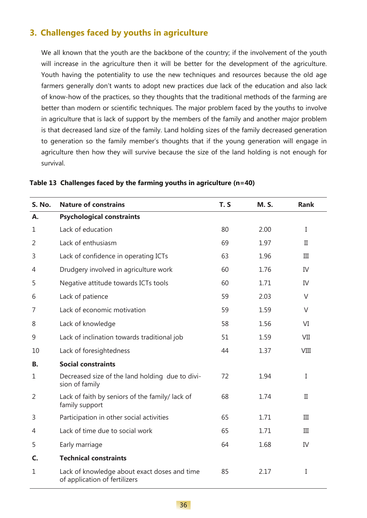# **3. Challenges faced by youths in agriculture**

We all known that the youth are the backbone of the country; if the involvement of the youth will increase in the agriculture then it will be better for the development of the agriculture. Youth having the potentiality to use the new techniques and resources because the old age farmers generally don't wants to adopt new practices due lack of the education and also lack of know-how of the practices, so they thoughts that the traditional methods of the farming are better than modern or scientific techniques. The major problem faced by the youths to involve in agriculture that is lack of support by the members of the family and another major problem is that decreased land size of the family. Land holding sizes of the family decreased generation to generation so the family member's thoughts that if the young generation will engage in agriculture then how they will survive because the size of the land holding is not enough for survival.

| S. No.         | <b>Nature of constrains</b>                                                   | T.S | <b>M.S.</b> | <b>Rank</b>  |
|----------------|-------------------------------------------------------------------------------|-----|-------------|--------------|
| Α.             | <b>Psychological constraints</b>                                              |     |             |              |
| $\mathbf{1}$   | Lack of education                                                             | 80  | 2.00        | I            |
| $\overline{2}$ | Lack of enthusiasm                                                            | 69  | 1.97        | $\mathbf{I}$ |
| 3              | Lack of confidence in operating ICTs                                          | 63  | 1.96        | III          |
| 4              | Drudgery involved in agriculture work                                         | 60  | 1.76        | IV           |
| 5              | Negative attitude towards ICTs tools                                          | 60  | 1.71        | IV           |
| 6              | Lack of patience                                                              | 59  | 2.03        | $\vee$       |
| 7              | Lack of economic motivation                                                   | 59  | 1.59        | $\vee$       |
| 8              | Lack of knowledge                                                             | 58  | 1.56        | VI           |
| 9              | Lack of inclination towards traditional job                                   | 51  | 1.59        | VII          |
| 10             | Lack of foresightedness                                                       | 44  | 1.37        | <b>VIII</b>  |
| В.             | <b>Social constraints</b>                                                     |     |             |              |
| $\mathbf{1}$   | Decreased size of the land holding due to divi-<br>sion of family             | 72  | 1.94        | I            |
| $\overline{2}$ | Lack of faith by seniors of the family/ lack of<br>family support             | 68  | 1.74        | $\mathbf{I}$ |
| 3              | Participation in other social activities                                      | 65  | 1.71        | III          |
| 4              | Lack of time due to social work                                               | 65  | 1.71        | III          |
| 5              | Early marriage                                                                | 64  | 1.68        | IV           |
| C.             | <b>Technical constraints</b>                                                  |     |             |              |
| $\mathbf{1}$   | Lack of knowledge about exact doses and time<br>of application of fertilizers | 85  | 2.17        | I            |

**Table 13 Challenges faced by the farming youths in agriculture (n=40)**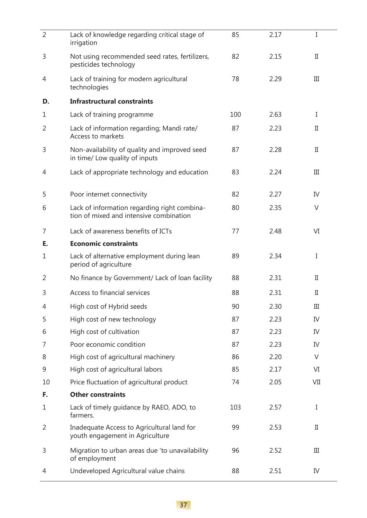| $\overline{2}$ | Lack of knowledge regarding critical stage of<br>irrigation                             | 85  | 2.17 | I           |
|----------------|-----------------------------------------------------------------------------------------|-----|------|-------------|
| 3              | Not using recommended seed rates, fertilizers,<br>pesticides technology                 | 82  | 2.15 | $_{\rm II}$ |
| 4              | Lack of training for modern agricultural<br>technologies                                | 78  | 2.29 | Ш           |
| D.             | <b>Infrastructural constraints</b>                                                      |     |      |             |
| 1              | Lack of training programme                                                              | 100 | 2.63 | I           |
| 2              | Lack of information regarding; Mandi rate/<br>Access to markets                         | 87  | 2.23 | П           |
| 3              | Non-availability of quality and improved seed<br>in time/ Low quality of inputs         | 87  | 2.28 | П           |
| 4              | Lack of appropriate technology and education                                            | 83  | 2.24 | III         |
| 5              | Poor internet connectivity                                                              | 82  | 2.27 | IV          |
| 6              | Lack of information regarding right combina-<br>tion of mixed and intensive combination | 80  | 2.35 | V           |
| 7              | Lack of awareness benefits of ICTs                                                      | 77  | 2.48 | VI          |
| Е.             | <b>Economic constraints</b>                                                             |     |      |             |
| 1              | Lack of alternative employment during lean<br>period of agriculture                     | 89  | 2.34 | I           |
| 2              | No finance by Government/ Lack of loan facility                                         | 88  | 2.31 | $_{\rm II}$ |
| 3              | Access to financial services                                                            | 88  | 2.31 | $_{\rm II}$ |
| 4              | High cost of Hybrid seeds                                                               | 90  | 2.30 | Ш           |
| 5              | High cost of new technology                                                             | 87  | 2.23 | IV          |
| 6              | High cost of cultivation                                                                | 87  | 2.23 | IV          |
| 7              | Poor economic condition                                                                 | 87  | 2.23 | IV          |
| 8              | High cost of agricultural machinery                                                     | 86  | 2.20 | V           |
| 9              | High cost of agricultural labors                                                        | 85  | 2.17 | VI          |
| 10             | Price fluctuation of agricultural product                                               | 74  | 2.05 | VII         |
| F.             | <b>Other constraints</b>                                                                |     |      |             |
| 1              | Lack of timely guidance by RAEO, ADO, to<br>farmers.                                    | 103 | 2.57 | I           |
| 2              | Inadequate Access to Agricultural land for<br>youth engagement in Agriculture           | 99  | 2.53 | П           |
| 3              | Migration to urban areas due 'to unavailability<br>of employment                        | 96  | 2.52 | Ш           |
| 4              | Undeveloped Agricultural value chains                                                   | 88  | 2.51 | IV          |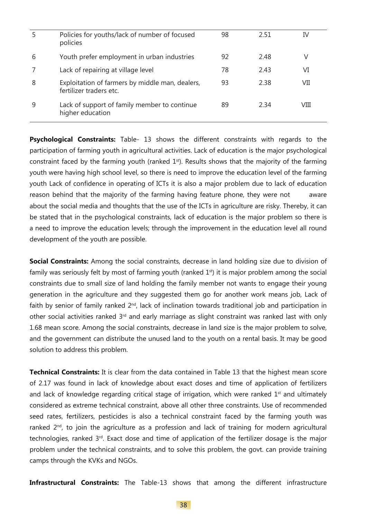|   | Policies for youths/lack of number of focused<br>policies                  | 98 | 2.51 | IV   |
|---|----------------------------------------------------------------------------|----|------|------|
| 6 | Youth prefer employment in urban industries                                | 92 | 2.48 | V    |
|   | Lack of repairing at village level                                         | 78 | 2.43 | VI   |
| 8 | Exploitation of farmers by middle man, dealers,<br>fertilizer traders etc. | 93 | 2.38 | VII  |
| 9 | Lack of support of family member to continue<br>higher education           | 89 | 2.34 | VIII |

**Psychological Constraints:** Table- 13 shows the different constraints with regards to the participation of farming youth in agricultural activities. Lack of education is the major psychological constraint faced by the farming youth (ranked 1<sup>st</sup>). Results shows that the majority of the farming youth were having high school level, so there is need to improve the education level of the farming youth Lack of confidence in operating of ICTs it is also a major problem due to lack of education reason behind that the majority of the farming having feature phone, they were not aware about the social media and thoughts that the use of the ICTs in agriculture are risky. Thereby, it can be stated that in the psychological constraints, lack of education is the major problem so there is a need to improve the education levels; through the improvement in the education level all round development of the youth are possible.

**Social Constraints:** Among the social constraints, decrease in land holding size due to division of family was seriously felt by most of farming youth (ranked  $1<sup>st</sup>$ ) it is major problem among the social constraints due to small size of land holding the family member not wants to engage their young generation in the agriculture and they suggested them go for another work means job, Lack of faith by senior of family ranked 2<sup>nd</sup>, lack of inclination towards traditional job and participation in other social activities ranked 3<sup>rd</sup> and early marriage as slight constraint was ranked last with only 1.68 mean score. Among the social constraints, decrease in land size is the major problem to solve, and the government can distribute the unused land to the youth on a rental basis. It may be good solution to address this problem.

**Technical Constraints:** It is clear from the data contained in Table 13 that the highest mean score of 2.17 was found in lack of knowledge about exact doses and time of application of fertilizers and lack of knowledge regarding critical stage of irrigation, which were ranked  $1<sup>st</sup>$  and ultimately considered as extreme technical constraint, above all other three constraints. Use of recommended seed rates, fertilizers, pesticides is also a technical constraint faced by the farming youth was ranked 2<sup>nd</sup>, to join the agriculture as a profession and lack of training for modern agricultural technologies, ranked 3rd. Exact dose and time of application of the fertilizer dosage is the major problem under the technical constraints, and to solve this problem, the govt. can provide training camps through the KVKs and NGOs.

**Infrastructural Constraints:** The Table-13 shows that among the different infrastructure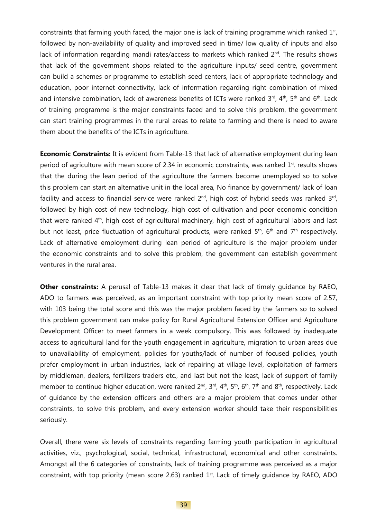constraints that farming youth faced, the major one is lack of training programme which ranked  $1<sup>st</sup>$ , followed by non-availability of quality and improved seed in time/ low quality of inputs and also lack of information regarding mandi rates/access to markets which ranked 2<sup>nd</sup>. The results shows that lack of the government shops related to the agriculture inputs/ seed centre, government can build a schemes or programme to establish seed centers, lack of appropriate technology and education, poor internet connectivity, lack of information regarding right combination of mixed and intensive combination, lack of awareness benefits of ICTs were ranked  $3^{rd}$ ,  $4^{th}$ ,  $5^{th}$  and  $6^{th}$ . Lack of training programme is the major constraints faced and to solve this problem, the government can start training programmes in the rural areas to relate to farming and there is need to aware them about the benefits of the ICTs in agriculture.

**Economic Constraints:** It is evident from Table-13 that lack of alternative employment during lean period of agriculture with mean score of 2.34 in economic constraints, was ranked  $1<sup>st</sup>$ . results shows that the during the lean period of the agriculture the farmers become unemployed so to solve this problem can start an alternative unit in the local area, No finance by government/ lack of loan facility and access to financial service were ranked  $2^{nd}$ , high cost of hybrid seeds was ranked  $3^{rd}$ , followed by high cost of new technology, high cost of cultivation and poor economic condition that were ranked 4<sup>th</sup>, high cost of agricultural machinery, high cost of agricultural labors and last but not least, price fluctuation of agricultural products, were ranked 5<sup>th</sup>, 6<sup>th</sup> and 7<sup>th</sup> respectively. Lack of alternative employment during lean period of agriculture is the major problem under the economic constraints and to solve this problem, the government can establish government ventures in the rural area.

**Other constraints:** A perusal of Table-13 makes it clear that lack of timely quidance by RAEO, ADO to farmers was perceived, as an important constraint with top priority mean score of 2.57, with 103 being the total score and this was the major problem faced by the farmers so to solved this problem government can make policy for Rural Agricultural Extension Officer and Agriculture Development Officer to meet farmers in a week compulsory. This was followed by inadequate access to agricultural land for the youth engagement in agriculture, migration to urban areas due to unavailability of employment, policies for youths/lack of number of focused policies, youth prefer employment in urban industries, lack of repairing at village level, exploitation of farmers by middleman, dealers, fertilizers traders etc., and last but not the least, lack of support of family member to continue higher education, were ranked 2<sup>nd</sup>, 3<sup>rd</sup>, 4<sup>th</sup>, 5<sup>th</sup>, 6<sup>th</sup>, 7<sup>th</sup> and 8<sup>th</sup>, respectively. Lack of guidance by the extension officers and others are a major problem that comes under other constraints, to solve this problem, and every extension worker should take their responsibilities seriously.

Overall, there were six levels of constraints regarding farming youth participation in agricultural activities, viz., psychological, social, technical, infrastructural, economical and other constraints. Amongst all the 6 categories of constraints, lack of training programme was perceived as a major constraint, with top priority (mean score 2.63) ranked  $1<sup>st</sup>$ . Lack of timely quidance by RAEO, ADO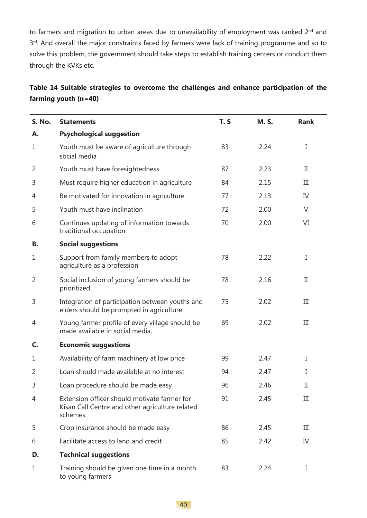to farmers and migration to urban areas due to unavailability of employment was ranked 2<sup>nd</sup> and 3rd. And overall the major constraints faced by farmers were lack of training programme and so to solve this problem, the government should take steps to establish training centers or conduct them through the KVKs etc.

|                        |  |  |  | Table 14 Suitable strategies to overcome the challenges and enhance participation of the |  |
|------------------------|--|--|--|------------------------------------------------------------------------------------------|--|
| farming youth $(n=40)$ |  |  |  |                                                                                          |  |

| <b>S. No.</b>  | <b>Statements</b>                                                                                          | T.S | <b>M.S.</b> | <b>Rank</b> |
|----------------|------------------------------------------------------------------------------------------------------------|-----|-------------|-------------|
| А.             | <b>Psychological suggestion</b>                                                                            |     |             |             |
| 1              | Youth must be aware of agriculture through<br>social media                                                 | 83  | 2.24        | I           |
| 2              | Youth must have foresightedness                                                                            | 87  | 2.23        | П           |
| 3              | Must require higher education in agriculture                                                               | 84  | 2.15        | III         |
| 4              | Be motivated for innovation in agriculture                                                                 | 77  | 2.13        | IV          |
| 5              | Youth must have inclination                                                                                | 72  | 2.00        | $\vee$      |
| 6              | Continues updating of information towards<br>traditional occupation                                        | 70  | 2.00        | VI          |
| В.             | <b>Social suggestions</b>                                                                                  |     |             |             |
| 1              | Support from family members to adopt<br>agriculture as a profession                                        | 78  | 2.22        | I           |
| $\overline{2}$ | Social inclusion of young farmers should be<br>prioritized.                                                | 78  | 2.16        | $_{\rm II}$ |
| 3              | Integration of participation between youths and<br>elders should be prompted in agriculture.               | 75  | 2.02        | III         |
| 4              | Young farmer profile of every village should be<br>made available in social media.                         | 69  | 2.02        | III         |
| C.             | <b>Economic suggestions</b>                                                                                |     |             |             |
| 1              | Availability of farm machinery at low price                                                                | 99  | 2.47        | I           |
| $\overline{2}$ | Loan should made available at no interest                                                                  | 94  | 2.47        | I           |
| 3              | Loan procedure should be made easy                                                                         | 96  | 2.46        | $_{\rm II}$ |
| 4              | Extension officer should motivate farmer for<br>Kisan Call Centre and other agriculture related<br>schemes | 91  | 2.45        | Ш           |
| 5              | Crop insurance should be made easy                                                                         | 86  | 2.45        | III         |
| 6              | Facilitate access to land and credit                                                                       | 85  | 2.42        | IV          |
| D.             | <b>Technical suggestions</b>                                                                               |     |             |             |
| $\mathbf{1}$   | Training should be given one time in a month<br>to young farmers                                           | 83  | 2.24        | Ι           |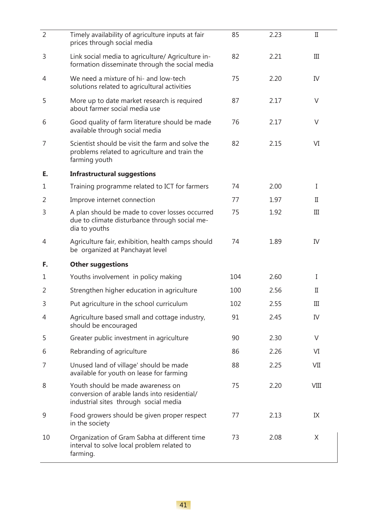| $\overline{2}$ | Timely availability of agriculture inputs at fair                                                                          | 85  | 2.23 | $_{\rm II}$ |
|----------------|----------------------------------------------------------------------------------------------------------------------------|-----|------|-------------|
|                | prices through social media                                                                                                |     |      |             |
| 3              | Link social media to agriculture/ Agriculture in-<br>formation disseminate through the social media                        | 82  | 2.21 | Ш           |
| 4              | We need a mixture of hi- and low-tech<br>solutions related to agricultural activities                                      | 75  | 2.20 | IV          |
| 5              | More up to date market research is required<br>about farmer social media use                                               | 87  | 2.17 | $\vee$      |
| 6              | Good quality of farm literature should be made<br>available through social media                                           | 76  | 2.17 | $\vee$      |
| 7              | Scientist should be visit the farm and solve the<br>problems related to agriculture and train the<br>farming youth         | 82  | 2.15 | VI          |
| E.             | <b>Infrastructural suggestions</b>                                                                                         |     |      |             |
| 1              | Training programme related to ICT for farmers                                                                              | 74  | 2.00 | I           |
| 2              | Improve internet connection                                                                                                | 77  | 1.97 | П           |
| 3              | A plan should be made to cover losses occurred<br>due to climate disturbance through social me-<br>dia to youths           | 75  | 1.92 | III         |
| 4              | Agriculture fair, exhibition, health camps should<br>be organized at Panchayat level                                       | 74  | 1.89 | IV          |
| F.             | <b>Other suggestions</b>                                                                                                   |     |      |             |
| 1              | Youths involvement in policy making                                                                                        | 104 | 2.60 | Ι           |
| $\overline{2}$ | Strengthen higher education in agriculture                                                                                 | 100 | 2.56 | П           |
| 3              | Put agriculture in the school curriculum                                                                                   | 102 | 2.55 | Ш           |
| 4              | Agriculture based small and cottage industry,<br>should be encouraged                                                      | 91  | 2.45 | IV          |
| 5              | Greater public investment in agriculture                                                                                   | 90  | 2.30 | V           |
| 6              | Rebranding of agriculture                                                                                                  | 86  | 2.26 | VI          |
| 7              | Unused land of village' should be made<br>available for youth on lease for farming                                         | 88  | 2.25 | VII         |
| 8              | Youth should be made awareness on<br>conversion of arable lands into residential/<br>industrial sites through social media | 75  | 2.20 | VIII        |
| 9              | Food growers should be given proper respect<br>in the society                                                              | 77  | 2.13 | IX          |
| 10             | Organization of Gram Sabha at different time<br>interval to solve local problem related to<br>farming.                     | 73  | 2.08 | X           |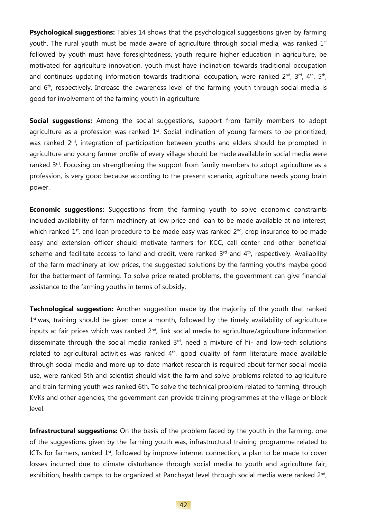**Psychological suggestions:** Tables 14 shows that the psychological suggestions given by farming youth. The rural youth must be made aware of agriculture through social media, was ranked  $1<sup>st</sup>$ followed by youth must have foresightedness, youth require higher education in agriculture, be motivated for agriculture innovation, youth must have inclination towards traditional occupation and continues updating information towards traditional occupation, were ranked  $2^{nd}$ ,  $3^{rd}$ ,  $4^{th}$ ,  $5^{th}$ , and 6<sup>th</sup>, respectively. Increase the awareness level of the farming youth through social media is good for involvement of the farming youth in agriculture.

**Social suggestions:** Among the social suggestions, support from family members to adopt agriculture as a profession was ranked 1<sup>st</sup>. Social inclination of young farmers to be prioritized, was ranked  $2<sup>nd</sup>$ , integration of participation between youths and elders should be prompted in agriculture and young farmer profile of every village should be made available in social media were ranked 3<sup>rd</sup>. Focusing on strengthening the support from family members to adopt agriculture as a profession, is very good because according to the present scenario, agriculture needs young brain power.

**Economic suggestions:** Suggestions from the farming youth to solve economic constraints included availability of farm machinery at low price and loan to be made available at no interest, which ranked  $1<sup>st</sup>$ , and loan procedure to be made easy was ranked  $2<sup>nd</sup>$ , crop insurance to be made easy and extension officer should motivate farmers for KCC, call center and other beneficial scheme and facilitate access to land and credit, were ranked  $3<sup>rd</sup>$  and  $4<sup>th</sup>$ , respectively. Availability of the farm machinery at low prices, the suggested solutions by the farming youths maybe good for the betterment of farming. To solve price related problems, the government can give financial assistance to the farming youths in terms of subsidy.

**Technological suggestion:** Another suggestion made by the majority of the youth that ranked 1<sup>st</sup> was, training should be given once a month, followed by the timely availability of agriculture inputs at fair prices which was ranked  $2<sup>nd</sup>$ , link social media to agriculture/agriculture information disseminate through the social media ranked  $3<sup>rd</sup>$ , need a mixture of hi- and low-tech solutions related to agricultural activities was ranked 4<sup>th</sup>, good quality of farm literature made available through social media and more up to date market research is required about farmer social media use, were ranked 5th and scientist should visit the farm and solve problems related to agriculture and train farming youth was ranked 6th. To solve the technical problem related to farming, through KVKs and other agencies, the government can provide training programmes at the village or block level.

**Infrastructural suggestions:** On the basis of the problem faced by the youth in the farming, one of the suggestions given by the farming youth was, infrastructural training programme related to ICTs for farmers, ranked  $1<sup>st</sup>$ , followed by improve internet connection, a plan to be made to cover losses incurred due to climate disturbance through social media to youth and agriculture fair, exhibition, health camps to be organized at Panchayat level through social media were ranked  $2^{nd}$ ,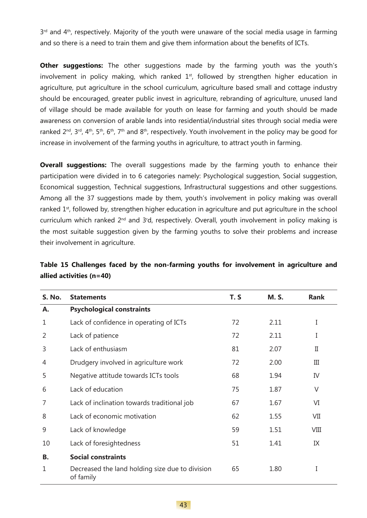3<sup>rd</sup> and 4<sup>th</sup>, respectively. Majority of the youth were unaware of the social media usage in farming and so there is a need to train them and give them information about the benefits of ICTs.

**Other suggestions:** The other suggestions made by the farming youth was the youth's involvement in policy making, which ranked  $1<sup>st</sup>$ , followed by strengthen higher education in agriculture, put agriculture in the school curriculum, agriculture based small and cottage industry should be encouraged, greater public invest in agriculture, rebranding of agriculture, unused land of village should be made available for youth on lease for farming and youth should be made awareness on conversion of arable lands into residential/industrial sites through social media were ranked  $2^{nd}$ ,  $3^{rd}$ ,  $4^{th}$ ,  $5^{th}$ ,  $6^{th}$ ,  $7^{th}$  and  $8^{th}$ , respectively. Youth involvement in the policy may be good for increase in involvement of the farming youths in agriculture, to attract youth in farming.

**Overall suggestions:** The overall suggestions made by the farming youth to enhance their participation were divided in to 6 categories namely: Psychological suggestion, Social suggestion, Economical suggestion, Technical suggestions, Infrastructural suggestions and other suggestions. Among all the 37 suggestions made by them, youth's involvement in policy making was overall ranked 1<sup>st</sup>, followed by, strengthen higher education in agriculture and put agriculture in the school curriculum which ranked  $2^{\text{nd}}$  and  $3^{\text{rd}}$ , respectively. Overall, youth involvement in policy making is the most suitable suggestion given by the farming youths to solve their problems and increase their involvement in agriculture.

| <b>S. No.</b> | <b>Statements</b>                                            | T.S | <b>M.S.</b> | <b>Rank</b> |
|---------------|--------------------------------------------------------------|-----|-------------|-------------|
| А.            | <b>Psychological constraints</b>                             |     |             |             |
| 1             | Lack of confidence in operating of ICTs                      | 72  | 2.11        | I           |
| 2             | Lack of patience                                             | 72  | 2.11        | I           |
| 3             | Lack of enthusiasm                                           | 81  | 2.07        | П           |
| 4             | Drudgery involved in agriculture work                        | 72  | 2.00        | III         |
| 5             | Negative attitude towards ICTs tools                         | 68  | 1.94        | IV          |
| 6             | Lack of education                                            | 75  | 1.87        | $\vee$      |
| 7             | Lack of inclination towards traditional job                  | 67  | 1.67        | VI          |
| 8             | Lack of economic motivation                                  | 62  | 1.55        | VII         |
| 9             | Lack of knowledge                                            | 59  | 1.51        | VIII        |
| 10            | Lack of foresightedness                                      | 51  | 1.41        | IX          |
| В.            | <b>Social constraints</b>                                    |     |             |             |
| 1             | Decreased the land holding size due to division<br>of family | 65  | 1.80        | I           |

### **Table 15 Challenges faced by the non-farming youths for involvement in agriculture and allied activities (n=40)**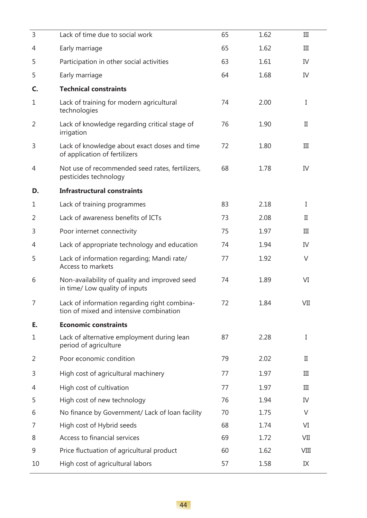| 3            | Lack of time due to social work                                                         | 65 | 1.62 | III          |
|--------------|-----------------------------------------------------------------------------------------|----|------|--------------|
| 4            | Early marriage                                                                          | 65 | 1.62 | III          |
| 5            | Participation in other social activities                                                | 63 | 1.61 | IV           |
| 5            | Early marriage                                                                          | 64 | 1.68 | IV           |
| C.           | <b>Technical constraints</b>                                                            |    |      |              |
| $\mathbf 1$  | Lack of training for modern agricultural<br>technologies                                | 74 | 2.00 | I            |
| 2            | Lack of knowledge regarding critical stage of<br>irrigation                             | 76 | 1.90 | $\mathbf{I}$ |
| 3            | Lack of knowledge about exact doses and time<br>of application of fertilizers           | 72 | 1.80 | III          |
| 4            | Not use of recommended seed rates, fertilizers,<br>pesticides technology                | 68 | 1.78 | IV           |
| D.           | <b>Infrastructural constraints</b>                                                      |    |      |              |
| 1            | Lack of training programmes                                                             | 83 | 2.18 | I            |
| 2            | Lack of awareness benefits of ICTs                                                      | 73 | 2.08 | П            |
| 3            | Poor internet connectivity                                                              | 75 | 1.97 | III          |
| 4            | Lack of appropriate technology and education                                            | 74 | 1.94 | IV           |
| 5            | Lack of information regarding; Mandi rate/<br>Access to markets                         | 77 | 1.92 | $\vee$       |
| 6            | Non-availability of quality and improved seed<br>in time/ Low quality of inputs         | 74 | 1.89 | VI           |
| 7            | Lack of information regarding right combina-<br>tion of mixed and intensive combination | 72 | 1.84 | VII          |
| E.           | <b>Economic constraints</b>                                                             |    |      |              |
| $\mathbf{1}$ | Lack of alternative employment during lean<br>period of agriculture                     | 87 | 2.28 | I            |
| 2            | Poor economic condition                                                                 | 79 | 2.02 | П            |
| 3            | High cost of agricultural machinery                                                     | 77 | 1.97 | III          |
| 4            | High cost of cultivation                                                                | 77 | 1.97 | III          |
| 5            | High cost of new technology                                                             | 76 | 1.94 | IV           |
| 6            | No finance by Government/ Lack of loan facility                                         | 70 | 1.75 | $\vee$       |
| 7            | High cost of Hybrid seeds                                                               | 68 | 1.74 | VI           |
| 8            | Access to financial services                                                            | 69 | 1.72 | VII          |
| 9            | Price fluctuation of agricultural product                                               | 60 | 1.62 | VIII         |
| 10           | High cost of agricultural labors                                                        | 57 | 1.58 | IX           |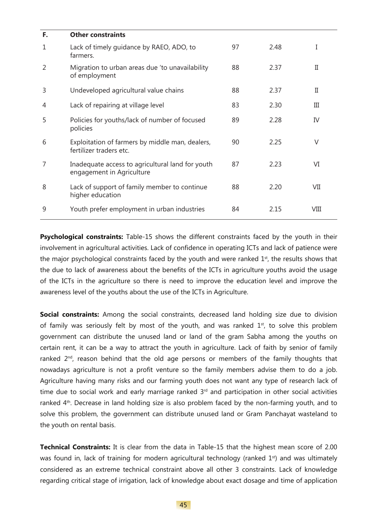| F.             | <b>Other constraints</b>                                                      |    |      |             |
|----------------|-------------------------------------------------------------------------------|----|------|-------------|
| $\mathbf{1}$   | Lack of timely guidance by RAEO, ADO, to<br>farmers.                          | 97 | 2.48 | Ι           |
| $\overline{2}$ | Migration to urban areas due 'to unavailability<br>of employment              | 88 | 2.37 | $_{\rm II}$ |
| 3              | Undeveloped agricultural value chains                                         | 88 | 2.37 | $_{\rm II}$ |
| 4              | Lack of repairing at village level                                            | 83 | 2.30 | Ш           |
| 5              | Policies for youths/lack of number of focused<br>policies                     | 89 | 2.28 | IV          |
| 6              | Exploitation of farmers by middle man, dealers,<br>fertilizer traders etc.    | 90 | 2.25 | $\vee$      |
| $\overline{7}$ | Inadequate access to agricultural land for youth<br>engagement in Agriculture | 87 | 2.23 | VI          |
| 8              | Lack of support of family member to continue<br>higher education              | 88 | 2.20 | VII         |
| 9              | Youth prefer employment in urban industries                                   | 84 | 2.15 | VIII        |

**Psychological constraints:** Table-15 shows the different constraints faced by the youth in their involvement in agricultural activities. Lack of confidence in operating ICTs and lack of patience were the major psychological constraints faced by the youth and were ranked  $1<sup>st</sup>$ , the results shows that the due to lack of awareness about the benefits of the ICTs in agriculture youths avoid the usage of the ICTs in the agriculture so there is need to improve the education level and improve the awareness level of the youths about the use of the ICTs in Agriculture.

**Social constraints:** Among the social constraints, decreased land holding size due to division of family was seriously felt by most of the youth, and was ranked  $1<sup>st</sup>$ , to solve this problem government can distribute the unused land or land of the gram Sabha among the youths on certain rent, it can be a way to attract the youth in agriculture. Lack of faith by senior of family ranked 2<sup>nd</sup>, reason behind that the old age persons or members of the family thoughts that nowadays agriculture is not a profit venture so the family members advise them to do a job. Agriculture having many risks and our farming youth does not want any type of research lack of time due to social work and early marriage ranked  $3<sup>rd</sup>$  and participation in other social activities ranked 4<sup>th</sup>. Decrease in land holding size is also problem faced by the non-farming youth, and to solve this problem, the government can distribute unused land or Gram Panchayat wasteland to the youth on rental basis.

**Technical Constraints:** It is clear from the data in Table-15 that the highest mean score of 2.00 was found in, lack of training for modern agricultural technology (ranked  $1<sup>st</sup>$ ) and was ultimately considered as an extreme technical constraint above all other 3 constraints. Lack of knowledge regarding critical stage of irrigation, lack of knowledge about exact dosage and time of application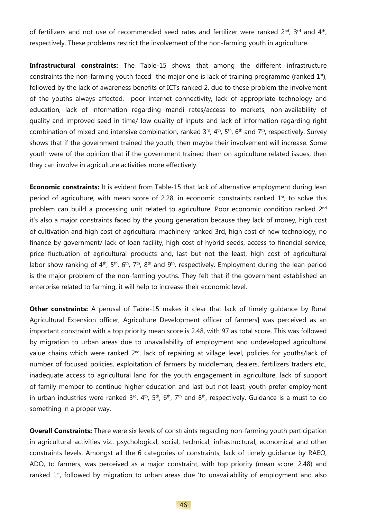of fertilizers and not use of recommended seed rates and fertilizer were ranked 2<sup>nd</sup>, 3<sup>rd</sup> and 4<sup>th</sup>, respectively. These problems restrict the involvement of the non-farming youth in agriculture.

**Infrastructural constraints:** The Table-15 shows that among the different infrastructure constraints the non-farming youth faced the major one is lack of training programme (ranked 1<sup>st</sup>), followed by the lack of awareness benefits of ICTs ranked 2, due to these problem the involvement of the youths always affected, poor internet connectivity, lack of appropriate technology and education, lack of information regarding mandi rates/access to markets, non-availability of quality and improved seed in time/ low quality of inputs and lack of information regarding right combination of mixed and intensive combination, ranked  $3<sup>rd</sup>$ ,  $4<sup>th</sup>$ ,  $5<sup>th</sup>$ ,  $6<sup>th</sup>$  and  $7<sup>th</sup>$ , respectively. Survey shows that if the government trained the youth, then maybe their involvement will increase. Some youth were of the opinion that if the government trained them on agriculture related issues, then they can involve in agriculture activities more effectively.

**Economic constraints:** It is evident from Table-15 that lack of alternative employment during lean period of agriculture, with mean score of 2.28, in economic constraints ranked  $1<sup>st</sup>$ , to solve this problem can build a processing unit related to agriculture. Poor economic condition ranked 2<sup>nd</sup> it's also a major constraints faced by the young generation because they lack of money, high cost of cultivation and high cost of agricultural machinery ranked 3rd, high cost of new technology, no finance by government/ lack of loan facility, high cost of hybrid seeds, access to financial service, price fluctuation of agricultural products and, last but not the least, high cost of agricultural labor show ranking of  $4<sup>th</sup>$ ,  $5<sup>th</sup>$ ,  $6<sup>th</sup>$ ,  $7<sup>th</sup>$ ,  $8<sup>th</sup>$  and  $9<sup>th</sup>$ , respectively. Employment during the lean period is the major problem of the non-farming youths. They felt that if the government established an enterprise related to farming, it will help to increase their economic level.

**Other constraints:** A perusal of Table-15 makes it clear that lack of timely quidance by Rural Agricultural Extension officer, Agriculture Development officer of farmers] was perceived as an important constraint with a top priority mean score is 2.48, with 97 as total score. This was followed by migration to urban areas due to unavailability of employment and undeveloped agricultural value chains which were ranked 2<sup>nd</sup>, lack of repairing at village level, policies for youths/lack of number of focused policies, exploitation of farmers by middleman, dealers, fertilizers traders etc., inadequate access to agricultural land for the youth engagement in agriculture, lack of support of family member to continue higher education and last but not least, youth prefer employment in urban industries were ranked  $3^{rd}$ ,  $4^{th}$ ,  $5^{th}$ ,  $6^{th}$ ,  $7^{th}$  and  $8^{th}$ , respectively. Guidance is a must to do something in a proper way.

**Overall Constraints:** There were six levels of constraints regarding non-farming youth participation in agricultural activities viz., psychological, social, technical, infrastructural, economical and other constraints levels. Amongst all the 6 categories of constraints, lack of timely guidance by RAEO, ADO, to farmers, was perceived as a major constraint, with top priority (mean score. 2.48) and ranked  $1<sup>st</sup>$ , followed by migration to urban areas due 'to unavailability of employment and also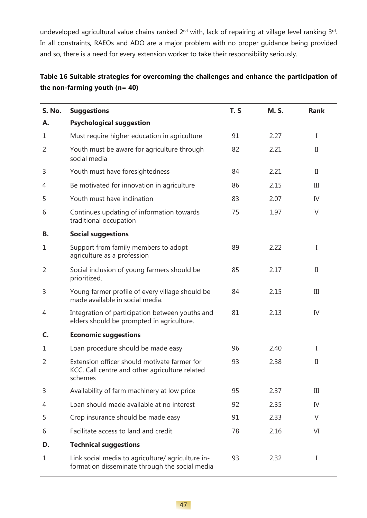undeveloped agricultural value chains ranked 2<sup>nd</sup> with, lack of repairing at village level ranking 3<sup>rd</sup>. In all constraints, RAEOs and ADO are a major problem with no proper guidance being provided and so, there is a need for every extension worker to take their responsibility seriously.

## **Table 16 Suitable strategies for overcoming the challenges and enhance the participation of the non-farming youth (n= 40)**

| <b>S. No.</b>  | <b>Suggestions</b>                                                                                        | T.S | <b>M.S.</b> | <b>Rank</b> |
|----------------|-----------------------------------------------------------------------------------------------------------|-----|-------------|-------------|
| А.             | <b>Psychological suggestion</b>                                                                           |     |             |             |
| 1              | Must require higher education in agriculture                                                              | 91  | 2.27        | $\bf{I}$    |
| $\overline{2}$ | Youth must be aware for agriculture through<br>social media                                               | 82  | 2.21        | $_{\rm II}$ |
| 3              | Youth must have foresightedness                                                                           | 84  | 2.21        | $_{\rm II}$ |
| 4              | Be motivated for innovation in agriculture                                                                | 86  | 2.15        | III         |
| 5              | Youth must have inclination                                                                               | 83  | 2.07        | IV          |
| 6              | Continues updating of information towards<br>traditional occupation                                       | 75  | 1.97        | $\vee$      |
| В.             | <b>Social suggestions</b>                                                                                 |     |             |             |
| 1              | Support from family members to adopt<br>agriculture as a profession                                       | 89  | 2.22        | I           |
| 2              | Social inclusion of young farmers should be<br>prioritized.                                               | 85  | 2.17        | $_{\rm II}$ |
| 3              | Young farmer profile of every village should be<br>made available in social media.                        | 84  | 2.15        | III         |
| 4              | Integration of participation between youths and<br>elders should be prompted in agriculture.              | 81  | 2.13        | IV          |
| C.             | <b>Economic suggestions</b>                                                                               |     |             |             |
| $\mathbf{1}$   | Loan procedure should be made easy                                                                        | 96  | 2.40        | I           |
| $\overline{2}$ | Extension officer should motivate farmer for<br>KCC, Call centre and other agriculture related<br>schemes | 93  | 2.38        | $_{\rm II}$ |
| 3              | Availability of farm machinery at low price                                                               | 95  | 2.37        | Ш           |
| 4              | Loan should made available at no interest                                                                 | 92  | 2.35        | IV          |
| 5              | Crop insurance should be made easy                                                                        | 91  | 2.33        | V           |
| 6              | Facilitate access to land and credit                                                                      | 78  | 2.16        | VI          |
| D.             | <b>Technical suggestions</b>                                                                              |     |             |             |
| 1              | Link social media to agriculture/ agriculture in-<br>formation disseminate through the social media       | 93  | 2.32        | I           |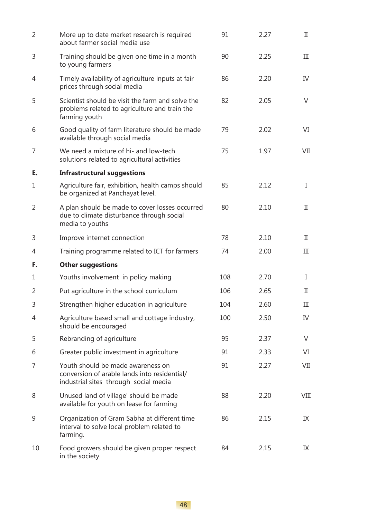| $\overline{2}$ | More up to date market research is required<br>about farmer social media use                                               | 91  | 2.27 | $_{\rm II}$ |
|----------------|----------------------------------------------------------------------------------------------------------------------------|-----|------|-------------|
| 3              | Training should be given one time in a month<br>to young farmers                                                           | 90  | 2.25 | III         |
| 4              | Timely availability of agriculture inputs at fair<br>prices through social media                                           | 86  | 2.20 | IV          |
| 5              | Scientist should be visit the farm and solve the<br>problems related to agriculture and train the<br>farming youth         | 82  | 2.05 | V           |
| 6              | Good quality of farm literature should be made<br>available through social media                                           | 79  | 2.02 | VI          |
| 7              | We need a mixture of hi- and low-tech<br>solutions related to agricultural activities                                      | 75  | 1.97 | VII         |
| E.             | <b>Infrastructural suggestions</b>                                                                                         |     |      |             |
| $\mathbf 1$    | Agriculture fair, exhibition, health camps should<br>be organized at Panchayat level.                                      | 85  | 2.12 | I           |
| $\overline{2}$ | A plan should be made to cover losses occurred<br>due to climate disturbance through social<br>media to youths             | 80  | 2.10 | П           |
| 3              | Improve internet connection                                                                                                | 78  | 2.10 | П           |
| 4              | Training programme related to ICT for farmers                                                                              | 74  | 2.00 | Ш           |
| F.             | <b>Other suggestions</b>                                                                                                   |     |      |             |
| 1              | Youths involvement in policy making                                                                                        | 108 | 2.70 | Ι           |
| $\overline{2}$ | Put agriculture in the school curriculum                                                                                   | 106 | 2.65 | П           |
| 3              | Strengthen higher education in agriculture                                                                                 | 104 | 2.60 | $\rm III$   |
| 4              | Agriculture based small and cottage industry,<br>should be encouraged                                                      | 100 | 2.50 | IV          |
| 5              | Rebranding of agriculture                                                                                                  | 95  | 2.37 | V           |
| 6              | Greater public investment in agriculture                                                                                   | 91  | 2.33 | VI          |
| 7              | Youth should be made awareness on<br>conversion of arable lands into residential/<br>industrial sites through social media | 91  | 2.27 | VII         |
| 8              | Unused land of village' should be made<br>available for youth on lease for farming                                         | 88  | 2.20 | VIII        |
| 9              | Organization of Gram Sabha at different time<br>interval to solve local problem related to<br>farming.                     | 86  | 2.15 | IX          |
| 10             | Food growers should be given proper respect<br>in the society                                                              | 84  | 2.15 | IX          |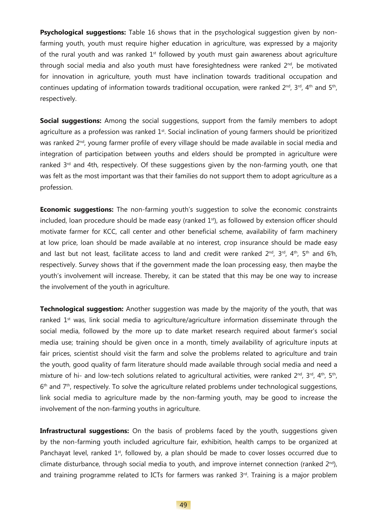**Psychological suggestions:** Table 16 shows that in the psychological suggestion given by nonfarming youth, youth must require higher education in agriculture, was expressed by a majority of the rural youth and was ranked  $1<sup>st</sup>$  followed by youth must gain awareness about agriculture through social media and also youth must have foresightedness were ranked  $2^{nd}$ , be motivated for innovation in agriculture, youth must have inclination towards traditional occupation and continues updating of information towards traditional occupation, were ranked  $2^{nd}$ ,  $3^{rd}$ ,  $4^{th}$  and  $5^{th}$ , respectively.

**Social suggestions:** Among the social suggestions, support from the family members to adopt agriculture as a profession was ranked 1<sup>st</sup>. Social inclination of young farmers should be prioritized was ranked 2<sup>nd</sup>, young farmer profile of every village should be made available in social media and integration of participation between youths and elders should be prompted in agriculture were ranked  $3<sup>rd</sup>$  and 4th, respectively. Of these suggestions given by the non-farming youth, one that was felt as the most important was that their families do not support them to adopt agriculture as a profession.

**Economic suggestions:** The non-farming youth's suggestion to solve the economic constraints included, loan procedure should be made easy (ranked  $1<sup>st</sup>$ ), as followed by extension officer should motivate farmer for KCC, call center and other beneficial scheme, availability of farm machinery at low price, loan should be made available at no interest, crop insurance should be made easy and last but not least, facilitate access to land and credit were ranked  $2^{\text{nd}}$ ,  $3^{\text{rd}}$ ,  $4^{\text{th}}$ ,  $5^{\text{th}}$  and  $6^{\text{th}}$ , respectively. Survey shows that if the government made the loan processing easy, then maybe the youth's involvement will increase. Thereby, it can be stated that this may be one way to increase the involvement of the youth in agriculture.

**Technological suggestion:** Another suggestion was made by the majority of the youth, that was ranked  $1<sup>st</sup>$  was, link social media to agriculture/agriculture information disseminate through the social media, followed by the more up to date market research required about farmer's social media use; training should be given once in a month, timely availability of agriculture inputs at fair prices, scientist should visit the farm and solve the problems related to agriculture and train the youth, good quality of farm literature should made available through social media and need a mixture of hi- and low-tech solutions related to agricultural activities, were ranked  $2^{nd}$ ,  $3^{rd}$ ,  $4^{th}$ ,  $5^{th}$ ,  $6<sup>th</sup>$  and  $7<sup>th</sup>$ , respectively. To solve the agriculture related problems under technological suggestions, link social media to agriculture made by the non-farming youth, may be good to increase the involvement of the non-farming youths in agriculture.

**Infrastructural suggestions:** On the basis of problems faced by the youth, suggestions given by the non-farming youth included agriculture fair, exhibition, health camps to be organized at Panchayat level, ranked 1<sup>st</sup>, followed by, a plan should be made to cover losses occurred due to climate disturbance, through social media to youth, and improve internet connection (ranked  $2^{nd}$ ), and training programme related to ICTs for farmers was ranked 3rd. Training is a major problem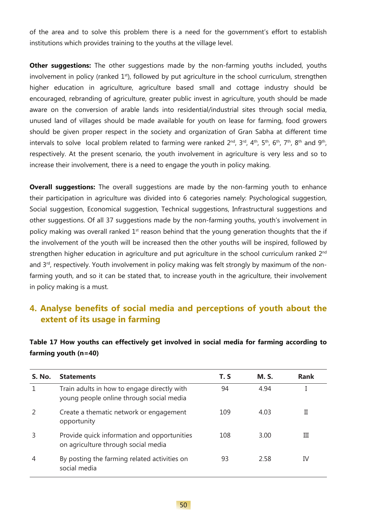of the area and to solve this problem there is a need for the government's effort to establish institutions which provides training to the youths at the village level.

**Other suggestions:** The other suggestions made by the non-farming youths included, youths involvement in policy (ranked 1<sup>st</sup>), followed by put agriculture in the school curriculum, strengthen higher education in agriculture, agriculture based small and cottage industry should be encouraged, rebranding of agriculture, greater public invest in agriculture, youth should be made aware on the conversion of arable lands into residential/industrial sites through social media, unused land of villages should be made available for youth on lease for farming, food growers should be given proper respect in the society and organization of Gran Sabha at different time intervals to solve local problem related to farming were ranked  $2^{nd}$ ,  $3^{rd}$ ,  $4^{th}$ ,  $5^{th}$ ,  $6^{th}$ ,  $7^{th}$ ,  $8^{th}$  and  $9^{th}$ , respectively. At the present scenario, the youth involvement in agriculture is very less and so to increase their involvement, there is a need to engage the youth in policy making.

**Overall suggestions:** The overall suggestions are made by the non-farming youth to enhance their participation in agriculture was divided into 6 categories namely: Psychological suggestion, Social suggestion, Economical suggestion, Technical suggestions, Infrastructural suggestions and other suggestions. Of all 37 suggestions made by the non-farming youths, youth's involvement in policy making was overall ranked  $1<sup>st</sup>$  reason behind that the young generation thoughts that the if the involvement of the youth will be increased then the other youths will be inspired, followed by strengthen higher education in agriculture and put agriculture in the school curriculum ranked 2<sup>nd</sup> and 3<sup>rd</sup>, respectively. Youth involvement in policy making was felt strongly by maximum of the nonfarming youth, and so it can be stated that, to increase youth in the agriculture, their involvement in policy making is a must.

# **4. Analyse benefits of social media and perceptions of youth about the extent of its usage in farming**

### **Table 17 How youths can effectively get involved in social media for farming according to farming youth (n=40)**

| <b>S. No.</b>  | <b>Statements</b>                                                                       | T. S | <b>M.S.</b> | <b>Rank</b> |
|----------------|-----------------------------------------------------------------------------------------|------|-------------|-------------|
|                | Train adults in how to engage directly with<br>young people online through social media | 94   | 4.94        |             |
|                | Create a thematic network or engagement<br>opportunity                                  | 109  | 4.03        | П           |
|                | Provide quick information and opportunities<br>on agriculture through social media      | 108  | 3.00        | Ш           |
| $\overline{4}$ | By posting the farming related activities on<br>social media                            | 93   | 2.58        | IV          |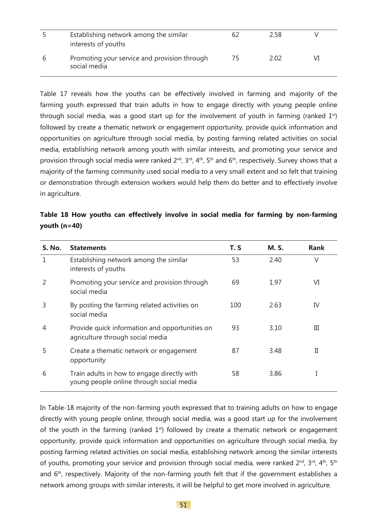| Establishing network among the similar                       | h/ | 2.58 |  |
|--------------------------------------------------------------|----|------|--|
| interests of youths                                          |    |      |  |
| Promoting your service and provision through<br>social media | /5 | 2.02 |  |

Table 17 reveals how the youths can be effectively involved in farming and majority of the farming youth expressed that train adults in how to engage directly with young people online through social media, was a good start up for the involvement of youth in farming (ranked  $1<sup>st</sup>$ ) followed by create a thematic network or engagement opportunity, provide quick information and opportunities on agriculture through social media, by posting farming related activities on social media, establishing network among youth with similar interests, and promoting your service and provision through social media were ranked 2<sup>nd</sup>, 3<sup>rd</sup>, 4<sup>th</sup>, 5<sup>th</sup> and 6<sup>th</sup>, respectively. Survey shows that a majority of the farming community used social media to a very small extent and so felt that training or demonstration through extension workers would help them do better and to effectively involve in agriculture.

|                |  |  | Table 18 How youths can effectively involve in social media for farming by non-farming |  |  |  |  |  |
|----------------|--|--|----------------------------------------------------------------------------------------|--|--|--|--|--|
| youth $(n=40)$ |  |  |                                                                                        |  |  |  |  |  |

| <b>S. No.</b> | <b>Statements</b>                                                                       | T. S | <b>M.S.</b> | <b>Rank</b> |
|---------------|-----------------------------------------------------------------------------------------|------|-------------|-------------|
| $\mathbf{1}$  | Establishing network among the similar<br>interests of youths                           | 53   | 2.40        | V           |
|               | Promoting your service and provision through<br>social media                            | 69   | 1.97        | VI          |
| 3             | By posting the farming related activities on<br>social media                            | 100  | 2.63        | IV          |
| 4             | Provide quick information and opportunities on<br>agriculture through social media      | 93   | 3.10        | Ш           |
| 5             | Create a thematic network or engagement<br>opportunity                                  | 87   | 3.48        | П           |
| 6             | Train adults in how to engage directly with<br>young people online through social media | 58   | 3.86        | I           |

In Table-18 majority of the non-farming youth expressed that to training adults on how to engage directly with young people online, through social media, was a good start up for the involvement of the youth in the farming (ranked  $1<sup>st</sup>$ ) followed by create a thematic network or engagement opportunity, provide quick information and opportunities on agriculture through social media, by posting farming related activities on social media, establishing network among the similar interests of youths, promoting your service and provision through social media, were ranked  $2^{nd}$ ,  $3^{rd}$ ,  $4^{th}$ ,  $5^{th}$ and 6<sup>th</sup>, respectively. Majority of the non-farming youth felt that if the government establishes a network among groups with similar interests, it will be helpful to get more involved in agriculture.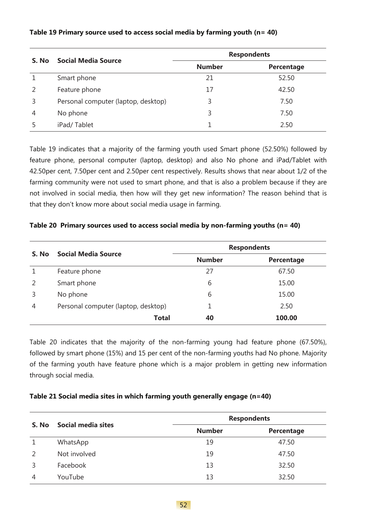| S. No         | <b>Social Media Source</b>          |               | <b>Respondents</b> |
|---------------|-------------------------------------|---------------|--------------------|
|               |                                     | <b>Number</b> | Percentage         |
|               | Smart phone                         | 21            | 52.50              |
| $\mathcal{L}$ | Feature phone                       | 17            | 42.50              |
| 3             | Personal computer (laptop, desktop) | 3             | 7.50               |
| 4             | No phone                            | 3             | 7.50               |
|               | iPad/Tablet                         |               | 2.50               |

#### **Table 19 Primary source used to access social media by farming youth (n= 40)**

Table 19 indicates that a majority of the farming youth used Smart phone (52.50%) followed by feature phone, personal computer (laptop, desktop) and also No phone and iPad/Tablet with 42.50per cent, 7.50per cent and 2.50per cent respectively. Results shows that near about 1/2 of the farming community were not used to smart phone, and that is also a problem because if they are not involved in social media, then how will they get new information? The reason behind that is that they don't know more about social media usage in farming.

#### **Table 20 Primary sources used to access social media by non-farming youths (n= 40)**

|       | <b>Social Media Source</b>          | <b>Respondents</b> |            |  |
|-------|-------------------------------------|--------------------|------------|--|
| S. No |                                     | <b>Number</b>      | Percentage |  |
|       | Feature phone                       | 27                 | 67.50      |  |
|       | Smart phone                         | 6                  | 15.00      |  |
| 3     | No phone                            | 6                  | 15.00      |  |
| 4     | Personal computer (laptop, desktop) |                    | 2.50       |  |
|       | <b>Total</b>                        | 40                 | 100.00     |  |

Table 20 indicates that the majority of the non-farming young had feature phone (67.50%), followed by smart phone (15%) and 15 per cent of the non-farming youths had No phone. Majority of the farming youth have feature phone which is a major problem in getting new information through social media.

#### **Table 21 Social media sites in which farming youth generally engage (n=40)**

|               | Social media sites |               | <b>Respondents</b> |
|---------------|--------------------|---------------|--------------------|
| S. No         |                    | <b>Number</b> | Percentage         |
|               | WhatsApp           | 19            | 47.50              |
| $\mathcal{P}$ | Not involved       | 19            | 47.50              |
| 3             | Facebook           | 13            | 32.50              |
| 4             | YouTube            | 13            | 32.50              |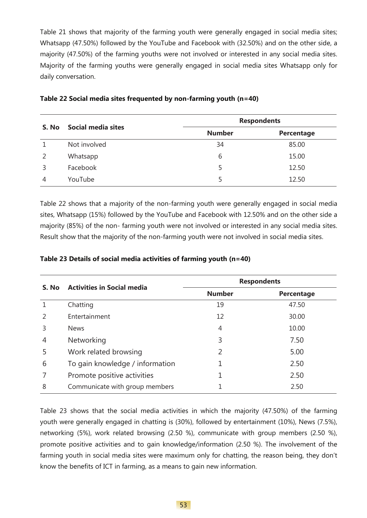Table 21 shows that majority of the farming youth were generally engaged in social media sites; Whatsapp (47.50%) followed by the YouTube and Facebook with (32.50%) and on the other side, a majority (47.50%) of the farming youths were not involved or interested in any social media sites. Majority of the farming youths were generally engaged in social media sites Whatsapp only for daily conversation.

| S. No | Social media sites | <b>Respondents</b> |            |  |
|-------|--------------------|--------------------|------------|--|
|       |                    | <b>Number</b>      | Percentage |  |
|       | Not involved       | 34                 | 85.00      |  |
|       | Whatsapp           | 6                  | 15.00      |  |
|       | Facebook           | 5                  | 12.50      |  |
| 4     | YouTube            |                    | 12.50      |  |

| Table 22 Social media sites frequented by non-farming youth (n=40) |  |  |  |
|--------------------------------------------------------------------|--|--|--|
|--------------------------------------------------------------------|--|--|--|

Table 22 shows that a majority of the non-farming youth were generally engaged in social media sites, Whatsapp (15%) followed by the YouTube and Facebook with 12.50% and on the other side a majority (85%) of the non- farming youth were not involved or interested in any social media sites. Result show that the majority of the non-farming youth were not involved in social media sites.

| S. No | <b>Activities in Social media</b> | <b>Respondents</b> |            |  |
|-------|-----------------------------------|--------------------|------------|--|
|       |                                   | <b>Number</b>      | Percentage |  |
|       | Chatting                          | 19                 | 47.50      |  |
|       | Entertainment                     | 12                 | 30.00      |  |
| 3     | <b>News</b>                       | 4                  | 10.00      |  |
| 4     | Networking                        | 3                  | 7.50       |  |
| 5     | Work related browsing             | 2                  | 5.00       |  |
| 6     | To gain knowledge / information   |                    | 2.50       |  |
|       | Promote positive activities       |                    | 2.50       |  |
| 8     | Communicate with group members    |                    | 2.50       |  |

#### **Table 23 Details of social media activities of farming youth (n=40)**

Table 23 shows that the social media activities in which the majority (47.50%) of the farming youth were generally engaged in chatting is (30%), followed by entertainment (10%), News (7.5%), networking (5%), work related browsing (2.50 %), communicate with group members (2.50 %), promote positive activities and to gain knowledge/information (2.50 %). The involvement of the farming youth in social media sites were maximum only for chatting, the reason being, they don't know the benefits of ICT in farming, as a means to gain new information.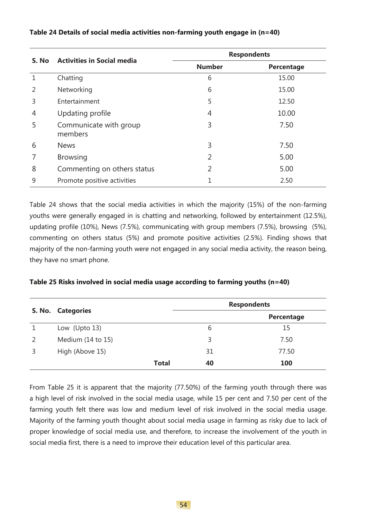|                | <b>Activities in Social media</b> |               | <b>Respondents</b> |
|----------------|-----------------------------------|---------------|--------------------|
| S. No          |                                   | <b>Number</b> | Percentage         |
|                | Chatting                          | 6             | 15.00              |
| $\mathcal{P}$  | Networking                        | 6             | 15.00              |
| 3              | Entertainment                     | 5             | 12.50              |
| $\overline{4}$ | Updating profile                  | 4             | 10.00              |
| 5              | Communicate with group<br>members | 3             | 7.50               |
| 6              | <b>News</b>                       | 3             | 7.50               |
|                | <b>Browsing</b>                   | V             | 5.00               |
| 8              | Commenting on others status       | 2             | 5.00               |
| 9              | Promote positive activities       |               | 2.50               |

#### **Table 24 Details of social media activities non-farming youth engage in (n=40)**

Table 24 shows that the social media activities in which the majority (15%) of the non-farming youths were generally engaged in is chatting and networking, followed by entertainment (12.5%), updating profile (10%), News (7.5%), communicating with group members (7.5%), browsing (5%), commenting on others status (5%) and promote positive activities (2.5%). Finding shows that majority of the non-farming youth were not engaged in any social media activity, the reason being, they have no smart phone.

#### **Table 25 Risks involved in social media usage according to farming youths (n=40)**

|               | S. No. Categories |              | <b>Respondents</b> |            |  |
|---------------|-------------------|--------------|--------------------|------------|--|
|               |                   |              |                    | Percentage |  |
|               | Low (Upto $13$ )  |              | 6                  | 15         |  |
| $\mathcal{P}$ | Medium (14 to 15) |              | 3                  | 7.50       |  |
| 3             | High (Above 15)   |              | 31                 | 77.50      |  |
|               |                   | <b>Total</b> | 40                 | 100        |  |

From Table 25 it is apparent that the majority (77.50%) of the farming youth through there was a high level of risk involved in the social media usage, while 15 per cent and 7.50 per cent of the farming youth felt there was low and medium level of risk involved in the social media usage. Majority of the farming youth thought about social media usage in farming as risky due to lack of proper knowledge of social media use, and therefore, to increase the involvement of the youth in social media first, there is a need to improve their education level of this particular area.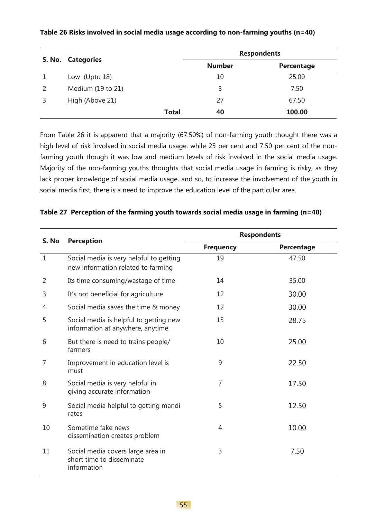|   |                       |              | <b>Respondents</b> |            |  |
|---|-----------------------|--------------|--------------------|------------|--|
|   | S. No. Categories     |              | <b>Number</b>      | Percentage |  |
|   | Low (Upto 18)         |              | 10                 | 25.00      |  |
| 2 | Medium $(19$ to $21)$ |              | 3                  | 7.50       |  |
| 3 | High (Above 21)       |              | 27                 | 67.50      |  |
|   |                       | <b>Total</b> | 40                 | 100.00     |  |

#### **Table 26 Risks involved in social media usage according to non-farming youths (n=40)**

From Table 26 it is apparent that a majority (67.50%) of non-farming youth thought there was a high level of risk involved in social media usage, while 25 per cent and 7.50 per cent of the nonfarming youth though it was low and medium levels of risk involved in the social media usage. Majority of the non-farming youths thoughts that social media usage in farming is risky, as they lack proper knowledge of social media usage, and so, to increase the involvement of the youth in social media first, there is a need to improve the education level of the particular area.

|              |                                                                               | <b>Respondents</b> |            |  |
|--------------|-------------------------------------------------------------------------------|--------------------|------------|--|
| S. No        | <b>Perception</b>                                                             | <b>Frequency</b>   | Percentage |  |
| $\mathbf{1}$ | Social media is very helpful to getting<br>new information related to farming | 19                 | 47.50      |  |
| 2            | Its time consuming/wastage of time                                            | 14                 | 35.00      |  |
| 3            | It's not beneficial for agriculture                                           | 12                 | 30.00      |  |
| 4            | Social media saves the time & money                                           | 12                 | 30.00      |  |
| 5            | Social media is helpful to getting new<br>information at anywhere, anytime    | 15                 | 28.75      |  |
| 6            | But there is need to trains people/<br>farmers                                | 10                 | 25.00      |  |
| 7            | Improvement in education level is<br>must                                     | 9                  | 22.50      |  |
| 8            | Social media is very helpful in<br>giving accurate information                | $\overline{7}$     | 17.50      |  |
| 9            | Social media helpful to getting mandi<br>rates                                | 5                  | 12.50      |  |
| 10           | Sometime fake news<br>dissemination creates problem                           | 4                  | 10.00      |  |
| 11           | Social media covers large area in<br>short time to disseminate<br>information | 3                  | 7.50       |  |

#### **Table 27 Perception of the farming youth towards social media usage in farming (n=40)**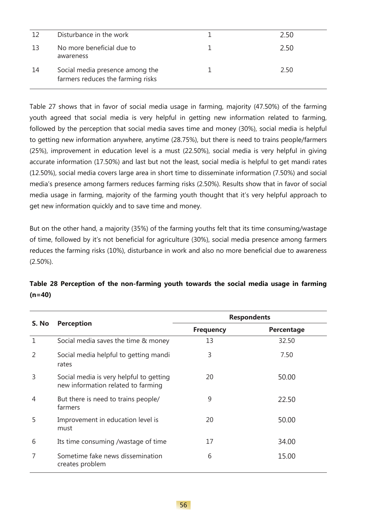| 12 | Disturbance in the work                                              | 2.50 |
|----|----------------------------------------------------------------------|------|
| 13 | No more beneficial due to<br>awareness                               | 2.50 |
| 14 | Social media presence among the<br>farmers reduces the farming risks | 2.50 |

Table 27 shows that in favor of social media usage in farming, majority (47.50%) of the farming youth agreed that social media is very helpful in getting new information related to farming, followed by the perception that social media saves time and money (30%), social media is helpful to getting new information anywhere, anytime (28.75%), but there is need to trains people/farmers (25%), improvement in education level is a must (22.50%), social media is very helpful in giving accurate information (17.50%) and last but not the least, social media is helpful to get mandi rates (12.50%), social media covers large area in short time to disseminate information (7.50%) and social media's presence among farmers reduces farming risks (2.50%). Results show that in favor of social media usage in farming, majority of the farming youth thought that it's very helpful approach to get new information quickly and to save time and money.

But on the other hand, a majority (35%) of the farming youths felt that its time consuming/wastage of time, followed by it's not beneficial for agriculture (30%), social media presence among farmers reduces the farming risks (10%), disturbance in work and also no more beneficial due to awareness (2.50%).

|       | <b>Perception</b>                                                             | <b>Respondents</b> |                   |  |
|-------|-------------------------------------------------------------------------------|--------------------|-------------------|--|
| S. No |                                                                               | <b>Frequency</b>   | <b>Percentage</b> |  |
| 1     | Social media saves the time & money                                           | 13                 | 32.50             |  |
| 2     | Social media helpful to getting mandi<br>rates                                | 3                  | 7.50              |  |
| 3     | Social media is very helpful to getting<br>new information related to farming | 20                 | 50.00             |  |
| 4     | But there is need to trains people/<br>farmers                                | 9                  | 22.50             |  |
| 5     | Improvement in education level is<br>must                                     | 20                 | 50.00             |  |
| 6     | Its time consuming /wastage of time                                           | 17                 | 34.00             |  |
|       | Sometime fake news dissemination<br>creates problem                           | 6                  | 15.00             |  |

### **Table 28 Perception of the non-farming youth towards the social media usage in farming (n=40)**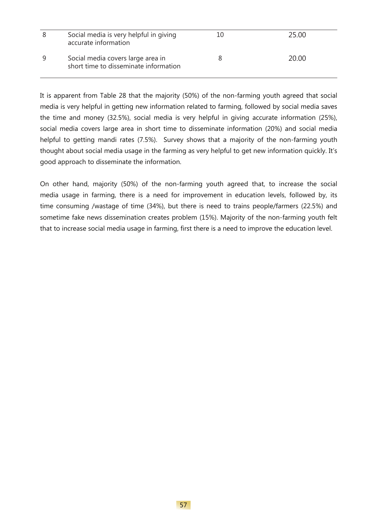| 8 | Social media is very helpful in giving<br>accurate information             | 10 | 25.00 |
|---|----------------------------------------------------------------------------|----|-------|
| 9 | Social media covers large area in<br>short time to disseminate information |    | 20.00 |

It is apparent from Table 28 that the majority (50%) of the non-farming youth agreed that social media is very helpful in getting new information related to farming, followed by social media saves the time and money (32.5%), social media is very helpful in giving accurate information (25%), social media covers large area in short time to disseminate information (20%) and social media helpful to getting mandi rates (7.5%). Survey shows that a majority of the non-farming youth thought about social media usage in the farming as very helpful to get new information quickly. It's good approach to disseminate the information.

On other hand, majority (50%) of the non-farming youth agreed that, to increase the social media usage in farming, there is a need for improvement in education levels, followed by, its time consuming /wastage of time (34%), but there is need to trains people/farmers (22.5%) and sometime fake news dissemination creates problem (15%). Majority of the non-farming youth felt that to increase social media usage in farming, first there is a need to improve the education level.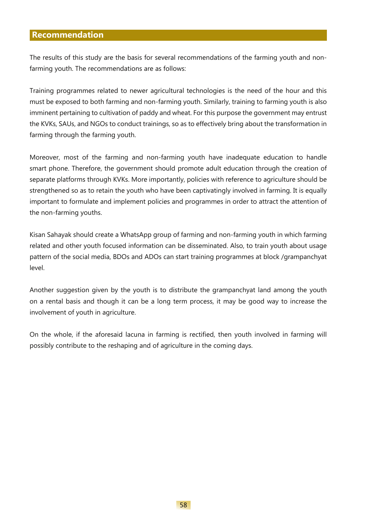#### **Recommendation**

The results of this study are the basis for several recommendations of the farming youth and nonfarming youth. The recommendations are as follows:

Training programmes related to newer agricultural technologies is the need of the hour and this must be exposed to both farming and non-farming youth. Similarly, training to farming youth is also imminent pertaining to cultivation of paddy and wheat. For this purpose the government may entrust the KVKs, SAUs, and NGOs to conduct trainings, so as to effectively bring about the transformation in farming through the farming youth.

Moreover, most of the farming and non-farming youth have inadequate education to handle smart phone. Therefore, the government should promote adult education through the creation of separate platforms through KVKs. More importantly, policies with reference to agriculture should be strengthened so as to retain the youth who have been captivatingly involved in farming. It is equally important to formulate and implement policies and programmes in order to attract the attention of the non-farming youths.

Kisan Sahayak should create a WhatsApp group of farming and non-farming youth in which farming related and other youth focused information can be disseminated. Also, to train youth about usage pattern of the social media, BDOs and ADOs can start training programmes at block /grampanchyat level.

Another suggestion given by the youth is to distribute the grampanchyat land among the youth on a rental basis and though it can be a long term process, it may be good way to increase the involvement of youth in agriculture.

On the whole, if the aforesaid lacuna in farming is rectified, then youth involved in farming will possibly contribute to the reshaping and of agriculture in the coming days.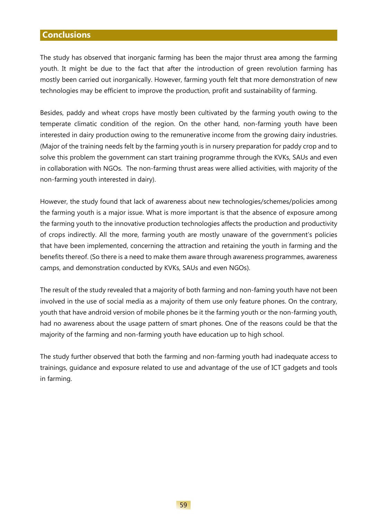### **Conclusions**

The study has observed that inorganic farming has been the major thrust area among the farming youth. It might be due to the fact that after the introduction of green revolution farming has mostly been carried out inorganically. However, farming youth felt that more demonstration of new technologies may be efficient to improve the production, profit and sustainability of farming.

Besides, paddy and wheat crops have mostly been cultivated by the farming youth owing to the temperate climatic condition of the region. On the other hand, non-farming youth have been interested in dairy production owing to the remunerative income from the growing dairy industries. (Major of the training needs felt by the farming youth is in nursery preparation for paddy crop and to solve this problem the government can start training programme through the KVKs, SAUs and even in collaboration with NGOs. The non-farming thrust areas were allied activities, with majority of the non-farming youth interested in dairy).

However, the study found that lack of awareness about new technologies/schemes/policies among the farming youth is a major issue. What is more important is that the absence of exposure among the farming youth to the innovative production technologies affects the production and productivity of crops indirectly. All the more, farming youth are mostly unaware of the government's policies that have been implemented, concerning the attraction and retaining the youth in farming and the benefits thereof. (So there is a need to make them aware through awareness programmes, awareness camps, and demonstration conducted by KVKs, SAUs and even NGOs).

The result of the study revealed that a majority of both farming and non-faming youth have not been involved in the use of social media as a majority of them use only feature phones. On the contrary, youth that have android version of mobile phones be it the farming youth or the non-farming youth, had no awareness about the usage pattern of smart phones. One of the reasons could be that the majority of the farming and non-farming youth have education up to high school.

The study further observed that both the farming and non-farming youth had inadequate access to trainings, guidance and exposure related to use and advantage of the use of ICT gadgets and tools in farming.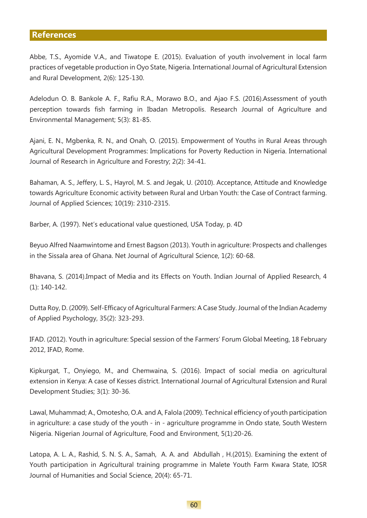#### **References**

Abbe, T.S., Ayomide V.A., and Tiwatope E. (2015). Evaluation of youth involvement in local farm practices of vegetable production in Oyo State, Nigeria. International Journal of Agricultural Extension and Rural Development, 2(6): 125-130.

Adelodun O. B. Bankole A. F., Rafiu R.A., Morawo B.O., and Ajao F.S. (2016).Assessment of youth perception towards fish farming in Ibadan Metropolis. Research Journal of Agriculture and Environmental Management; 5(3): 81-85.

Ajani, E. N., Mgbenka, R. N., and Onah, O. (2015). Empowerment of Youths in Rural Areas through Agricultural Development Programmes: Implications for Poverty Reduction in Nigeria. International Journal of Research in Agriculture and Forestry; 2(2): 34-41.

Bahaman, A. S., Jeffery, L. S., Hayrol, M. S. and Jegak, U. (2010). Acceptance, Attitude and Knowledge towards Agriculture Economic activity between Rural and Urban Youth: the Case of Contract farming. Journal of Applied Sciences; 10(19): 2310-2315.

Barber, A. (1997). Net's educational value questioned, USA Today, p. 4D

Beyuo Alfred Naamwintome and Ernest Bagson (2013). Youth in agriculture: Prospects and challenges in the Sissala area of Ghana. Net Journal of Agricultural Science, 1(2): 60-68.

Bhavana, S. (2014).Impact of Media and its Effects on Youth. Indian Journal of Applied Research, 4 (1): 140-142.

Dutta Roy, D. (2009). Self-Efficacy of Agricultural Farmers: A Case Study. Journal of the Indian Academy of Applied Psychology, 35(2): 323-293.

IFAD. (2012). Youth in agriculture: Special session of the Farmers' Forum Global Meeting, 18 February 2012, IFAD, Rome.

Kipkurgat, T., Onyiego, M., and Chemwaina, S. (2016). Impact of social media on agricultural extension in Kenya: A case of Kesses district. International Journal of Agricultural Extension and Rural Development Studies; 3(1): 30-36.

Lawal, Muhammad; A., Omotesho, O.A. and A, Falola (2009). Technical efficiency of youth participation in agriculture: a case study of the youth - in - agriculture programme in Ondo state, South Western Nigeria. Nigerian Journal of Agriculture, Food and Environment, 5(1):20-26.

Latopa, A. L. A., Rashid, S. N. S. A., Samah, A. A. and Abdullah , H.(2015). Examining the extent of Youth participation in Agricultural training programme in Malete Youth Farm Kwara State, IOSR Journal of Humanities and Social Science, 20(4): 65-71.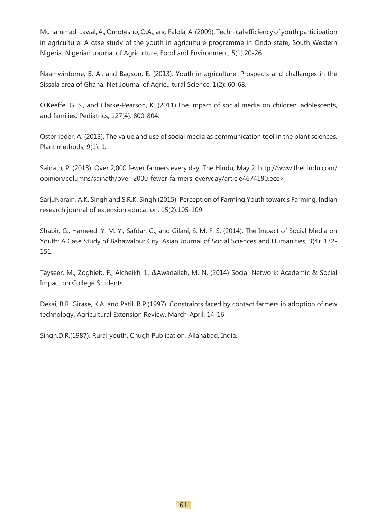Muhammad-Lawal, A., Omotesho, O.A., and Falola, A. (2009). Technical efficiency of youth participation in agriculture: A case study of the youth in agriculture programme in Ondo state, South Western Nigeria. Nigerian Journal of Agriculture, Food and Environment, 5(1):20-26

Naamwintome, B. A., and Bagson, E. (2013). Youth in agriculture: Prospects and challenges in the Sissala area of Ghana. Net Journal of Agricultural Science, 1(2): 60-68.

O'Keeffe, G. S., and Clarke-Pearson, K. (2011).The impact of social media on children, adolescents, and families. Pediatrics; 127(4): 800-804.

Osterrieder, A. (2013). The value and use of social media as communication tool in the plant sciences. Plant methods, 9(1): 1.

Sainath, P. (2013). Over 2,000 fewer farmers every day, The Hindu, May 2. http://www.thehindu.com/ opinion/columns/sainath/over-2000-fewer-farmers-everyday/article4674190.ece>

SarjuNarain, A.K. Singh and S.R.K. Singh (2015). Perception of Farming Youth towards Farming. Indian research journal of extension education; 15(2):105-109.

Shabir, G., Hameed, Y. M. Y., Safdar, G., and Gilani, S. M. F. S. (2014). The Impact of Social Media on Youth: A Case Study of Bahawalpur City. Asian Journal of Social Sciences and Humanities, 3(4): 132- 151.

Tayseer, M., Zoghieb, F., Alcheikh, I., &Awadallah, M. N. (2014) Social Network: Academic & Social Impact on College Students.

Desai, B.R. Girase, K.A. and Patil, R.P.(1997). Constraints faced by contact farmers in adoption of new technology. Agricultural Extension Review. March-April: 14-16

Singh,D.R.(1987). Rural youth. Chugh Publication, Allahabad, India.